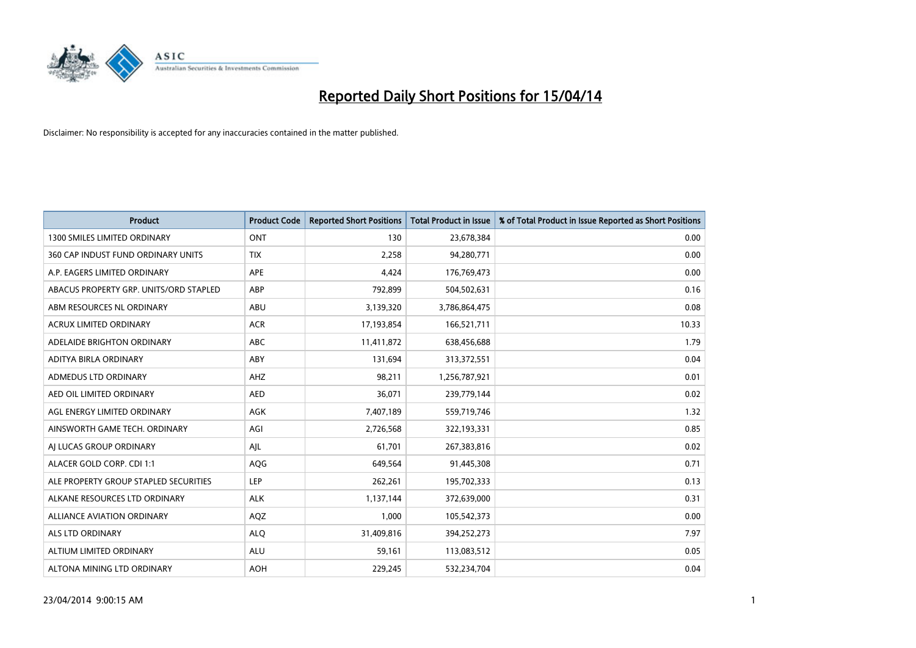

| <b>Product</b>                         | <b>Product Code</b> | <b>Reported Short Positions</b> | <b>Total Product in Issue</b> | % of Total Product in Issue Reported as Short Positions |
|----------------------------------------|---------------------|---------------------------------|-------------------------------|---------------------------------------------------------|
| <b>1300 SMILES LIMITED ORDINARY</b>    | ONT                 | 130                             | 23,678,384                    | 0.00                                                    |
| 360 CAP INDUST FUND ORDINARY UNITS     | <b>TIX</b>          | 2,258                           | 94,280,771                    | 0.00                                                    |
| A.P. EAGERS LIMITED ORDINARY           | APE                 | 4,424                           | 176,769,473                   | 0.00                                                    |
| ABACUS PROPERTY GRP. UNITS/ORD STAPLED | ABP                 | 792,899                         | 504,502,631                   | 0.16                                                    |
| ABM RESOURCES NL ORDINARY              | ABU                 | 3,139,320                       | 3,786,864,475                 | 0.08                                                    |
| ACRUX LIMITED ORDINARY                 | <b>ACR</b>          | 17,193,854                      | 166,521,711                   | 10.33                                                   |
| ADELAIDE BRIGHTON ORDINARY             | <b>ABC</b>          | 11,411,872                      | 638,456,688                   | 1.79                                                    |
| ADITYA BIRLA ORDINARY                  | ABY                 | 131,694                         | 313,372,551                   | 0.04                                                    |
| ADMEDUS LTD ORDINARY                   | AHZ                 | 98,211                          | 1,256,787,921                 | 0.01                                                    |
| AED OIL LIMITED ORDINARY               | <b>AED</b>          | 36,071                          | 239,779,144                   | 0.02                                                    |
| AGL ENERGY LIMITED ORDINARY            | AGK                 | 7,407,189                       | 559,719,746                   | 1.32                                                    |
| AINSWORTH GAME TECH. ORDINARY          | AGI                 | 2,726,568                       | 322,193,331                   | 0.85                                                    |
| AI LUCAS GROUP ORDINARY                | AJL                 | 61,701                          | 267,383,816                   | 0.02                                                    |
| ALACER GOLD CORP. CDI 1:1              | AQG                 | 649,564                         | 91,445,308                    | 0.71                                                    |
| ALE PROPERTY GROUP STAPLED SECURITIES  | <b>LEP</b>          | 262,261                         | 195,702,333                   | 0.13                                                    |
| ALKANE RESOURCES LTD ORDINARY          | <b>ALK</b>          | 1,137,144                       | 372,639,000                   | 0.31                                                    |
| ALLIANCE AVIATION ORDINARY             | AQZ                 | 1,000                           | 105,542,373                   | 0.00                                                    |
| <b>ALS LTD ORDINARY</b>                | <b>ALQ</b>          | 31,409,816                      | 394,252,273                   | 7.97                                                    |
| ALTIUM LIMITED ORDINARY                | <b>ALU</b>          | 59,161                          | 113,083,512                   | 0.05                                                    |
| ALTONA MINING LTD ORDINARY             | <b>AOH</b>          | 229,245                         | 532,234,704                   | 0.04                                                    |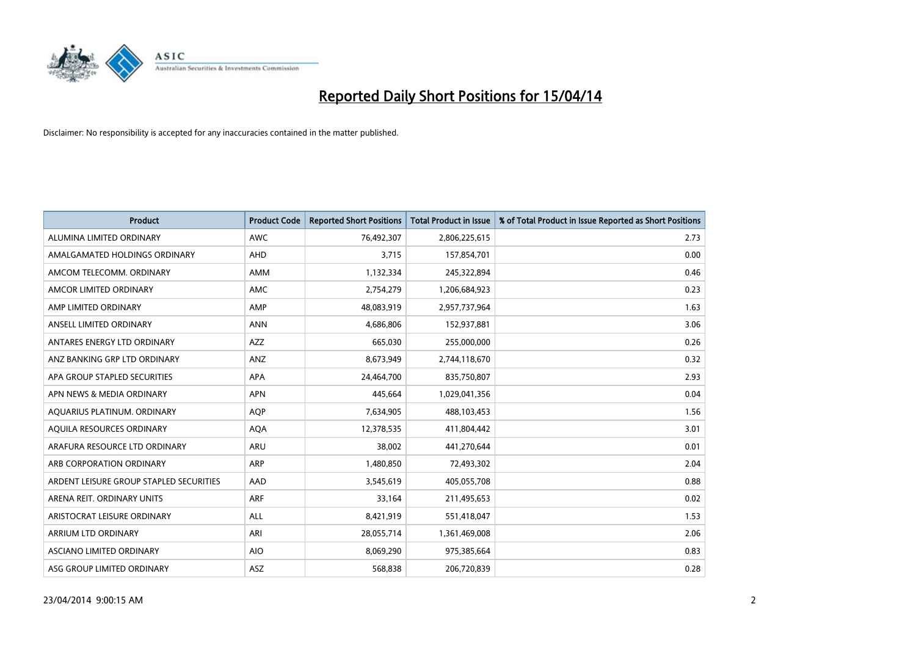

| <b>Product</b>                          | <b>Product Code</b> | <b>Reported Short Positions</b> | <b>Total Product in Issue</b> | % of Total Product in Issue Reported as Short Positions |
|-----------------------------------------|---------------------|---------------------------------|-------------------------------|---------------------------------------------------------|
| ALUMINA LIMITED ORDINARY                | <b>AWC</b>          | 76,492,307                      | 2,806,225,615                 | 2.73                                                    |
| AMALGAMATED HOLDINGS ORDINARY           | <b>AHD</b>          | 3,715                           | 157,854,701                   | 0.00                                                    |
| AMCOM TELECOMM. ORDINARY                | AMM                 | 1,132,334                       | 245,322,894                   | 0.46                                                    |
| AMCOR LIMITED ORDINARY                  | AMC                 | 2,754,279                       | 1,206,684,923                 | 0.23                                                    |
| AMP LIMITED ORDINARY                    | AMP                 | 48,083,919                      | 2,957,737,964                 | 1.63                                                    |
| ANSELL LIMITED ORDINARY                 | <b>ANN</b>          | 4,686,806                       | 152,937,881                   | 3.06                                                    |
| ANTARES ENERGY LTD ORDINARY             | AZZ                 | 665,030                         | 255,000,000                   | 0.26                                                    |
| ANZ BANKING GRP LTD ORDINARY            | ANZ                 | 8,673,949                       | 2,744,118,670                 | 0.32                                                    |
| APA GROUP STAPLED SECURITIES            | <b>APA</b>          | 24,464,700                      | 835,750,807                   | 2.93                                                    |
| APN NEWS & MEDIA ORDINARY               | <b>APN</b>          | 445,664                         | 1,029,041,356                 | 0.04                                                    |
| AQUARIUS PLATINUM. ORDINARY             | AQP                 | 7,634,905                       | 488,103,453                   | 1.56                                                    |
| AOUILA RESOURCES ORDINARY               | <b>AQA</b>          | 12,378,535                      | 411,804,442                   | 3.01                                                    |
| ARAFURA RESOURCE LTD ORDINARY           | <b>ARU</b>          | 38,002                          | 441,270,644                   | 0.01                                                    |
| ARB CORPORATION ORDINARY                | <b>ARP</b>          | 1,480,850                       | 72,493,302                    | 2.04                                                    |
| ARDENT LEISURE GROUP STAPLED SECURITIES | AAD                 | 3,545,619                       | 405,055,708                   | 0.88                                                    |
| ARENA REIT. ORDINARY UNITS              | <b>ARF</b>          | 33,164                          | 211,495,653                   | 0.02                                                    |
| ARISTOCRAT LEISURE ORDINARY             | ALL                 | 8,421,919                       | 551,418,047                   | 1.53                                                    |
| ARRIUM LTD ORDINARY                     | ARI                 | 28,055,714                      | 1,361,469,008                 | 2.06                                                    |
| ASCIANO LIMITED ORDINARY                | <b>AIO</b>          | 8,069,290                       | 975,385,664                   | 0.83                                                    |
| ASG GROUP LIMITED ORDINARY              | ASZ                 | 568,838                         | 206,720,839                   | 0.28                                                    |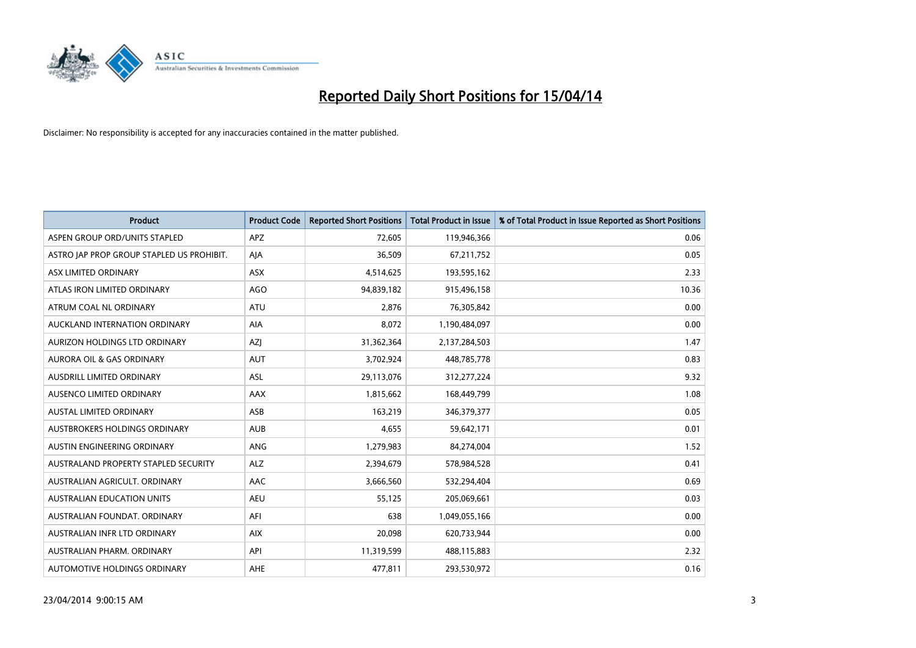

| <b>Product</b>                            | <b>Product Code</b> | <b>Reported Short Positions</b> | <b>Total Product in Issue</b> | % of Total Product in Issue Reported as Short Positions |
|-------------------------------------------|---------------------|---------------------------------|-------------------------------|---------------------------------------------------------|
| ASPEN GROUP ORD/UNITS STAPLED             | <b>APZ</b>          | 72,605                          | 119,946,366                   | 0.06                                                    |
| ASTRO JAP PROP GROUP STAPLED US PROHIBIT. | AJA                 | 36,509                          | 67,211,752                    | 0.05                                                    |
| ASX LIMITED ORDINARY                      | ASX                 | 4,514,625                       | 193,595,162                   | 2.33                                                    |
| ATLAS IRON LIMITED ORDINARY               | AGO                 | 94,839,182                      | 915,496,158                   | 10.36                                                   |
| ATRUM COAL NL ORDINARY                    | <b>ATU</b>          | 2,876                           | 76,305,842                    | 0.00                                                    |
| AUCKLAND INTERNATION ORDINARY             | <b>AIA</b>          | 8,072                           | 1,190,484,097                 | 0.00                                                    |
| AURIZON HOLDINGS LTD ORDINARY             | AZJ                 | 31,362,364                      | 2,137,284,503                 | 1.47                                                    |
| AURORA OIL & GAS ORDINARY                 | <b>AUT</b>          | 3,702,924                       | 448,785,778                   | 0.83                                                    |
| AUSDRILL LIMITED ORDINARY                 | <b>ASL</b>          | 29,113,076                      | 312,277,224                   | 9.32                                                    |
| AUSENCO LIMITED ORDINARY                  | AAX                 | 1,815,662                       | 168,449,799                   | 1.08                                                    |
| AUSTAL LIMITED ORDINARY                   | ASB                 | 163,219                         | 346,379,377                   | 0.05                                                    |
| AUSTBROKERS HOLDINGS ORDINARY             | <b>AUB</b>          | 4,655                           | 59,642,171                    | 0.01                                                    |
| AUSTIN ENGINEERING ORDINARY               | ANG                 | 1,279,983                       | 84,274,004                    | 1.52                                                    |
| AUSTRALAND PROPERTY STAPLED SECURITY      | <b>ALZ</b>          | 2,394,679                       | 578,984,528                   | 0.41                                                    |
| AUSTRALIAN AGRICULT, ORDINARY             | AAC                 | 3,666,560                       | 532,294,404                   | 0.69                                                    |
| AUSTRALIAN EDUCATION UNITS                | <b>AEU</b>          | 55,125                          | 205,069,661                   | 0.03                                                    |
| AUSTRALIAN FOUNDAT. ORDINARY              | AFI                 | 638                             | 1,049,055,166                 | 0.00                                                    |
| AUSTRALIAN INFR LTD ORDINARY              | <b>AIX</b>          | 20,098                          | 620,733,944                   | 0.00                                                    |
| AUSTRALIAN PHARM, ORDINARY                | API                 | 11,319,599                      | 488,115,883                   | 2.32                                                    |
| AUTOMOTIVE HOLDINGS ORDINARY              | AHE                 | 477,811                         | 293,530,972                   | 0.16                                                    |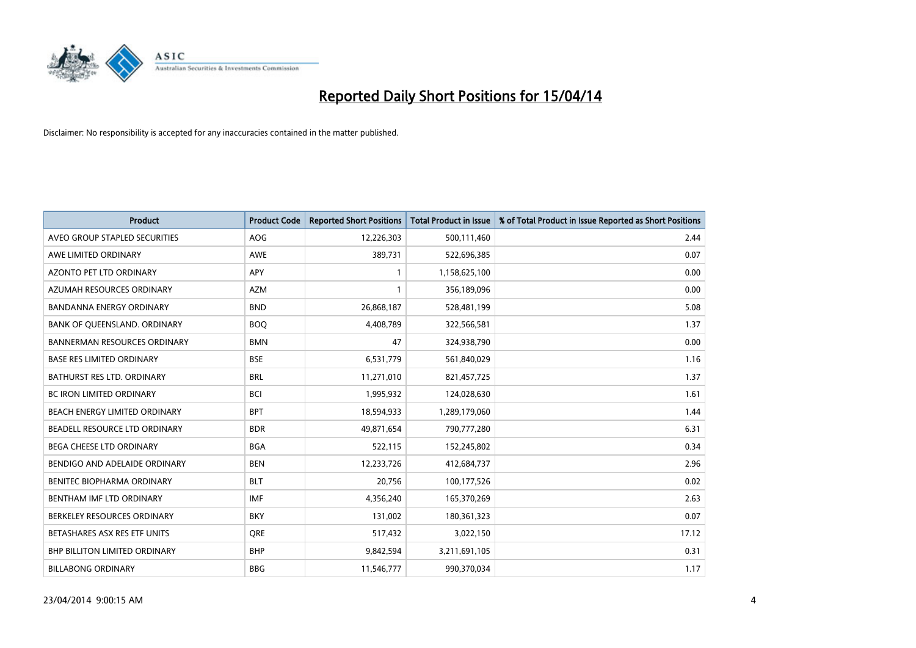

| <b>Product</b>                       | <b>Product Code</b> | <b>Reported Short Positions</b> | <b>Total Product in Issue</b> | % of Total Product in Issue Reported as Short Positions |
|--------------------------------------|---------------------|---------------------------------|-------------------------------|---------------------------------------------------------|
| AVEO GROUP STAPLED SECURITIES        | <b>AOG</b>          | 12,226,303                      | 500,111,460                   | 2.44                                                    |
| AWE LIMITED ORDINARY                 | <b>AWE</b>          | 389,731                         | 522,696,385                   | 0.07                                                    |
| AZONTO PET LTD ORDINARY              | <b>APY</b>          | $\mathbf{1}$                    | 1,158,625,100                 | 0.00                                                    |
| AZUMAH RESOURCES ORDINARY            | <b>AZM</b>          | $\mathbf{1}$                    | 356,189,096                   | 0.00                                                    |
| <b>BANDANNA ENERGY ORDINARY</b>      | <b>BND</b>          | 26,868,187                      | 528,481,199                   | 5.08                                                    |
| BANK OF QUEENSLAND. ORDINARY         | <b>BOQ</b>          | 4,408,789                       | 322,566,581                   | 1.37                                                    |
| <b>BANNERMAN RESOURCES ORDINARY</b>  | <b>BMN</b>          | 47                              | 324,938,790                   | 0.00                                                    |
| <b>BASE RES LIMITED ORDINARY</b>     | <b>BSE</b>          | 6,531,779                       | 561,840,029                   | 1.16                                                    |
| <b>BATHURST RES LTD. ORDINARY</b>    | <b>BRL</b>          | 11,271,010                      | 821,457,725                   | 1.37                                                    |
| <b>BC IRON LIMITED ORDINARY</b>      | <b>BCI</b>          | 1,995,932                       | 124,028,630                   | 1.61                                                    |
| BEACH ENERGY LIMITED ORDINARY        | <b>BPT</b>          | 18,594,933                      | 1,289,179,060                 | 1.44                                                    |
| BEADELL RESOURCE LTD ORDINARY        | <b>BDR</b>          | 49,871,654                      | 790,777,280                   | 6.31                                                    |
| BEGA CHEESE LTD ORDINARY             | <b>BGA</b>          | 522,115                         | 152,245,802                   | 0.34                                                    |
| BENDIGO AND ADELAIDE ORDINARY        | <b>BEN</b>          | 12,233,726                      | 412,684,737                   | 2.96                                                    |
| BENITEC BIOPHARMA ORDINARY           | <b>BLT</b>          | 20,756                          | 100,177,526                   | 0.02                                                    |
| BENTHAM IMF LTD ORDINARY             | <b>IMF</b>          | 4,356,240                       | 165,370,269                   | 2.63                                                    |
| BERKELEY RESOURCES ORDINARY          | <b>BKY</b>          | 131,002                         | 180,361,323                   | 0.07                                                    |
| BETASHARES ASX RES ETF UNITS         | <b>ORE</b>          | 517,432                         | 3,022,150                     | 17.12                                                   |
| <b>BHP BILLITON LIMITED ORDINARY</b> | <b>BHP</b>          | 9,842,594                       | 3,211,691,105                 | 0.31                                                    |
| <b>BILLABONG ORDINARY</b>            | <b>BBG</b>          | 11,546,777                      | 990,370,034                   | 1.17                                                    |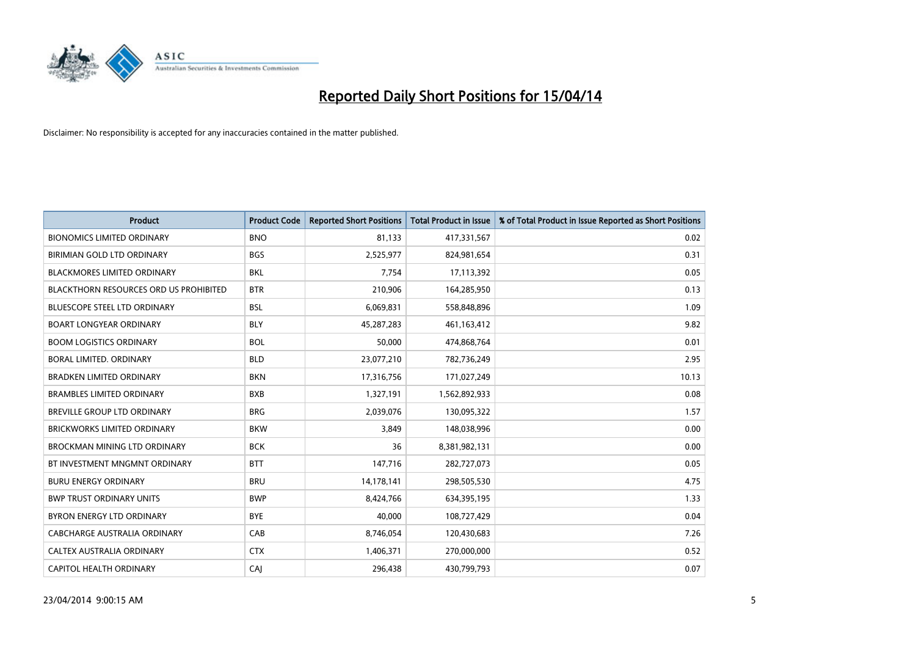

| <b>Product</b>                                | <b>Product Code</b> | <b>Reported Short Positions</b> | <b>Total Product in Issue</b> | % of Total Product in Issue Reported as Short Positions |
|-----------------------------------------------|---------------------|---------------------------------|-------------------------------|---------------------------------------------------------|
| <b>BIONOMICS LIMITED ORDINARY</b>             | <b>BNO</b>          | 81,133                          | 417,331,567                   | 0.02                                                    |
| BIRIMIAN GOLD LTD ORDINARY                    | <b>BGS</b>          | 2,525,977                       | 824,981,654                   | 0.31                                                    |
| <b>BLACKMORES LIMITED ORDINARY</b>            | BKL                 | 7,754                           | 17,113,392                    | 0.05                                                    |
| <b>BLACKTHORN RESOURCES ORD US PROHIBITED</b> | <b>BTR</b>          | 210,906                         | 164,285,950                   | 0.13                                                    |
| <b>BLUESCOPE STEEL LTD ORDINARY</b>           | <b>BSL</b>          | 6,069,831                       | 558,848,896                   | 1.09                                                    |
| <b>BOART LONGYEAR ORDINARY</b>                | <b>BLY</b>          | 45,287,283                      | 461,163,412                   | 9.82                                                    |
| <b>BOOM LOGISTICS ORDINARY</b>                | <b>BOL</b>          | 50,000                          | 474,868,764                   | 0.01                                                    |
| BORAL LIMITED. ORDINARY                       | <b>BLD</b>          | 23,077,210                      | 782,736,249                   | 2.95                                                    |
| <b>BRADKEN LIMITED ORDINARY</b>               | <b>BKN</b>          | 17,316,756                      | 171,027,249                   | 10.13                                                   |
| <b>BRAMBLES LIMITED ORDINARY</b>              | <b>BXB</b>          | 1,327,191                       | 1,562,892,933                 | 0.08                                                    |
| BREVILLE GROUP LTD ORDINARY                   | <b>BRG</b>          | 2,039,076                       | 130,095,322                   | 1.57                                                    |
| BRICKWORKS LIMITED ORDINARY                   | <b>BKW</b>          | 3,849                           | 148,038,996                   | 0.00                                                    |
| BROCKMAN MINING LTD ORDINARY                  | <b>BCK</b>          | 36                              | 8,381,982,131                 | 0.00                                                    |
| BT INVESTMENT MNGMNT ORDINARY                 | <b>BTT</b>          | 147,716                         | 282,727,073                   | 0.05                                                    |
| <b>BURU ENERGY ORDINARY</b>                   | <b>BRU</b>          | 14,178,141                      | 298,505,530                   | 4.75                                                    |
| <b>BWP TRUST ORDINARY UNITS</b>               | <b>BWP</b>          | 8,424,766                       | 634,395,195                   | 1.33                                                    |
| BYRON ENERGY LTD ORDINARY                     | <b>BYE</b>          | 40,000                          | 108,727,429                   | 0.04                                                    |
| <b>CABCHARGE AUSTRALIA ORDINARY</b>           | CAB                 | 8,746,054                       | 120,430,683                   | 7.26                                                    |
| CALTEX AUSTRALIA ORDINARY                     | <b>CTX</b>          | 1,406,371                       | 270,000,000                   | 0.52                                                    |
| CAPITOL HEALTH ORDINARY                       | CAJ                 | 296,438                         | 430,799,793                   | 0.07                                                    |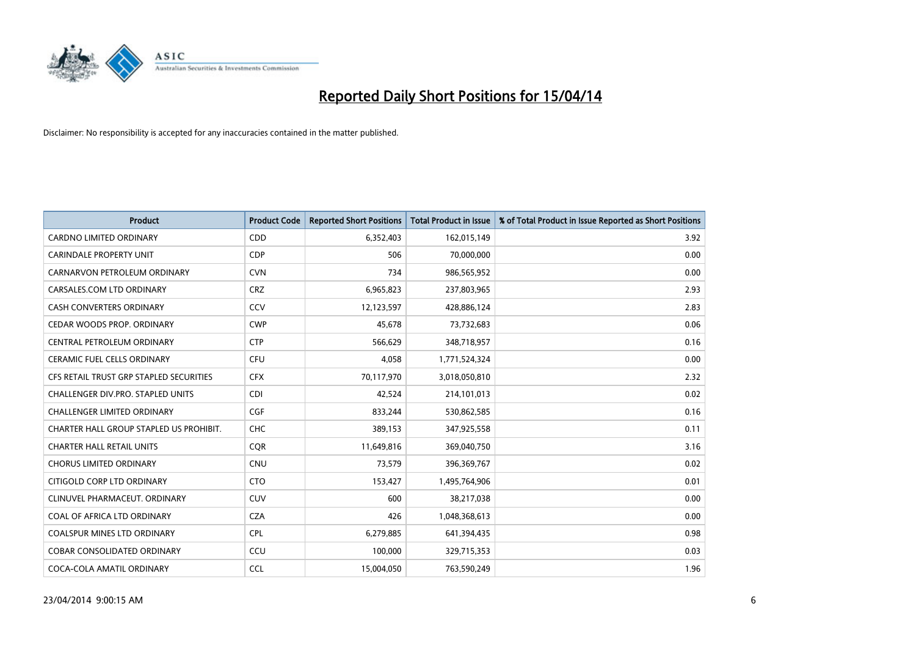

| <b>Product</b>                          | <b>Product Code</b> | <b>Reported Short Positions</b> | <b>Total Product in Issue</b> | % of Total Product in Issue Reported as Short Positions |
|-----------------------------------------|---------------------|---------------------------------|-------------------------------|---------------------------------------------------------|
| <b>CARDNO LIMITED ORDINARY</b>          | CDD                 | 6,352,403                       | 162,015,149                   | 3.92                                                    |
| <b>CARINDALE PROPERTY UNIT</b>          | <b>CDP</b>          | 506                             | 70,000,000                    | 0.00                                                    |
| CARNARVON PETROLEUM ORDINARY            | <b>CVN</b>          | 734                             | 986,565,952                   | 0.00                                                    |
| CARSALES.COM LTD ORDINARY               | <b>CRZ</b>          | 6,965,823                       | 237,803,965                   | 2.93                                                    |
| <b>CASH CONVERTERS ORDINARY</b>         | CCV                 | 12,123,597                      | 428,886,124                   | 2.83                                                    |
| CEDAR WOODS PROP. ORDINARY              | <b>CWP</b>          | 45,678                          | 73,732,683                    | 0.06                                                    |
| CENTRAL PETROLEUM ORDINARY              | <b>CTP</b>          | 566,629                         | 348,718,957                   | 0.16                                                    |
| <b>CERAMIC FUEL CELLS ORDINARY</b>      | <b>CFU</b>          | 4,058                           | 1,771,524,324                 | 0.00                                                    |
| CFS RETAIL TRUST GRP STAPLED SECURITIES | <b>CFX</b>          | 70,117,970                      | 3,018,050,810                 | 2.32                                                    |
| CHALLENGER DIV.PRO. STAPLED UNITS       | <b>CDI</b>          | 42,524                          | 214,101,013                   | 0.02                                                    |
| CHALLENGER LIMITED ORDINARY             | <b>CGF</b>          | 833,244                         | 530,862,585                   | 0.16                                                    |
| CHARTER HALL GROUP STAPLED US PROHIBIT. | <b>CHC</b>          | 389,153                         | 347,925,558                   | 0.11                                                    |
| <b>CHARTER HALL RETAIL UNITS</b>        | <b>CQR</b>          | 11,649,816                      | 369,040,750                   | 3.16                                                    |
| <b>CHORUS LIMITED ORDINARY</b>          | CNU                 | 73,579                          | 396,369,767                   | 0.02                                                    |
| CITIGOLD CORP LTD ORDINARY              | <b>CTO</b>          | 153,427                         | 1,495,764,906                 | 0.01                                                    |
| CLINUVEL PHARMACEUT, ORDINARY           | <b>CUV</b>          | 600                             | 38,217,038                    | 0.00                                                    |
| COAL OF AFRICA LTD ORDINARY             | <b>CZA</b>          | 426                             | 1,048,368,613                 | 0.00                                                    |
| <b>COALSPUR MINES LTD ORDINARY</b>      | <b>CPL</b>          | 6,279,885                       | 641,394,435                   | 0.98                                                    |
| <b>COBAR CONSOLIDATED ORDINARY</b>      | CCU                 | 100,000                         | 329,715,353                   | 0.03                                                    |
| COCA-COLA AMATIL ORDINARY               | <b>CCL</b>          | 15,004,050                      | 763,590,249                   | 1.96                                                    |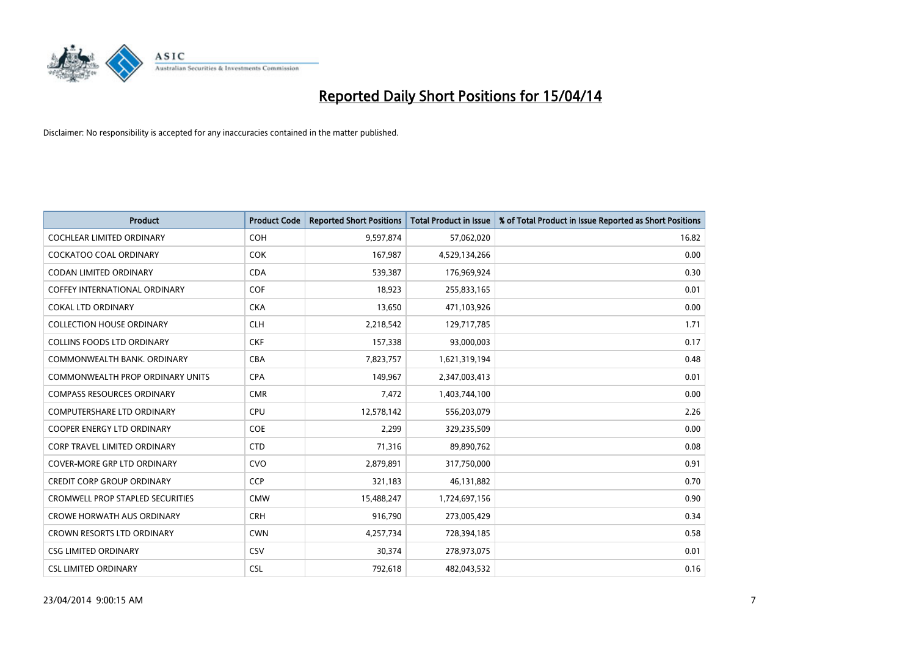

| <b>Product</b>                          | <b>Product Code</b> | <b>Reported Short Positions</b> | <b>Total Product in Issue</b> | % of Total Product in Issue Reported as Short Positions |
|-----------------------------------------|---------------------|---------------------------------|-------------------------------|---------------------------------------------------------|
| <b>COCHLEAR LIMITED ORDINARY</b>        | <b>COH</b>          | 9,597,874                       | 57,062,020                    | 16.82                                                   |
| <b>COCKATOO COAL ORDINARY</b>           | <b>COK</b>          | 167,987                         | 4,529,134,266                 | 0.00                                                    |
| <b>CODAN LIMITED ORDINARY</b>           | <b>CDA</b>          | 539,387                         | 176,969,924                   | 0.30                                                    |
| <b>COFFEY INTERNATIONAL ORDINARY</b>    | <b>COF</b>          | 18,923                          | 255,833,165                   | 0.01                                                    |
| <b>COKAL LTD ORDINARY</b>               | <b>CKA</b>          | 13,650                          | 471,103,926                   | 0.00                                                    |
| <b>COLLECTION HOUSE ORDINARY</b>        | <b>CLH</b>          | 2,218,542                       | 129,717,785                   | 1.71                                                    |
| <b>COLLINS FOODS LTD ORDINARY</b>       | <b>CKF</b>          | 157,338                         | 93,000,003                    | 0.17                                                    |
| COMMONWEALTH BANK, ORDINARY             | <b>CBA</b>          | 7,823,757                       | 1,621,319,194                 | 0.48                                                    |
| COMMONWEALTH PROP ORDINARY UNITS        | <b>CPA</b>          | 149,967                         | 2,347,003,413                 | 0.01                                                    |
| <b>COMPASS RESOURCES ORDINARY</b>       | <b>CMR</b>          | 7,472                           | 1,403,744,100                 | 0.00                                                    |
| <b>COMPUTERSHARE LTD ORDINARY</b>       | <b>CPU</b>          | 12,578,142                      | 556,203,079                   | 2.26                                                    |
| <b>COOPER ENERGY LTD ORDINARY</b>       | <b>COE</b>          | 2,299                           | 329,235,509                   | 0.00                                                    |
| <b>CORP TRAVEL LIMITED ORDINARY</b>     | <b>CTD</b>          | 71,316                          | 89,890,762                    | 0.08                                                    |
| <b>COVER-MORE GRP LTD ORDINARY</b>      | <b>CVO</b>          | 2,879,891                       | 317,750,000                   | 0.91                                                    |
| <b>CREDIT CORP GROUP ORDINARY</b>       | <b>CCP</b>          | 321,183                         | 46,131,882                    | 0.70                                                    |
| <b>CROMWELL PROP STAPLED SECURITIES</b> | <b>CMW</b>          | 15,488,247                      | 1,724,697,156                 | 0.90                                                    |
| <b>CROWE HORWATH AUS ORDINARY</b>       | <b>CRH</b>          | 916,790                         | 273,005,429                   | 0.34                                                    |
| CROWN RESORTS LTD ORDINARY              | <b>CWN</b>          | 4,257,734                       | 728,394,185                   | 0.58                                                    |
| <b>CSG LIMITED ORDINARY</b>             | <b>CSV</b>          | 30,374                          | 278,973,075                   | 0.01                                                    |
| <b>CSL LIMITED ORDINARY</b>             | <b>CSL</b>          | 792,618                         | 482,043,532                   | 0.16                                                    |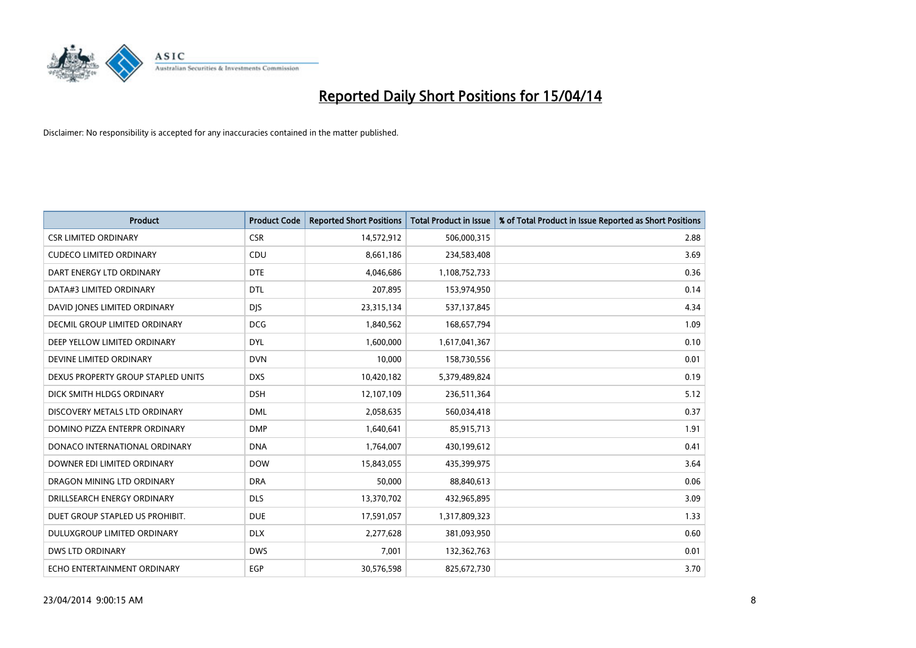

| <b>Product</b>                       | <b>Product Code</b> | <b>Reported Short Positions</b> | <b>Total Product in Issue</b> | % of Total Product in Issue Reported as Short Positions |
|--------------------------------------|---------------------|---------------------------------|-------------------------------|---------------------------------------------------------|
| <b>CSR LIMITED ORDINARY</b>          | <b>CSR</b>          | 14,572,912                      | 506,000,315                   | 2.88                                                    |
| <b>CUDECO LIMITED ORDINARY</b>       | CDU                 | 8,661,186                       | 234,583,408                   | 3.69                                                    |
| DART ENERGY LTD ORDINARY             | <b>DTE</b>          | 4,046,686                       | 1,108,752,733                 | 0.36                                                    |
| DATA#3 LIMITED ORDINARY              | <b>DTL</b>          | 207,895                         | 153,974,950                   | 0.14                                                    |
| DAVID JONES LIMITED ORDINARY         | <b>DJS</b>          | 23,315,134                      | 537,137,845                   | 4.34                                                    |
| <b>DECMIL GROUP LIMITED ORDINARY</b> | <b>DCG</b>          | 1,840,562                       | 168,657,794                   | 1.09                                                    |
| DEEP YELLOW LIMITED ORDINARY         | <b>DYL</b>          | 1,600,000                       | 1,617,041,367                 | 0.10                                                    |
| DEVINE LIMITED ORDINARY              | <b>DVN</b>          | 10,000                          | 158,730,556                   | 0.01                                                    |
| DEXUS PROPERTY GROUP STAPLED UNITS   | <b>DXS</b>          | 10,420,182                      | 5,379,489,824                 | 0.19                                                    |
| DICK SMITH HLDGS ORDINARY            | <b>DSH</b>          | 12,107,109                      | 236,511,364                   | 5.12                                                    |
| DISCOVERY METALS LTD ORDINARY        | <b>DML</b>          | 2,058,635                       | 560,034,418                   | 0.37                                                    |
| DOMINO PIZZA ENTERPR ORDINARY        | <b>DMP</b>          | 1,640,641                       | 85,915,713                    | 1.91                                                    |
| DONACO INTERNATIONAL ORDINARY        | <b>DNA</b>          | 1,764,007                       | 430,199,612                   | 0.41                                                    |
| DOWNER EDI LIMITED ORDINARY          | <b>DOW</b>          | 15,843,055                      | 435,399,975                   | 3.64                                                    |
| DRAGON MINING LTD ORDINARY           | <b>DRA</b>          | 50,000                          | 88,840,613                    | 0.06                                                    |
| DRILLSEARCH ENERGY ORDINARY          | <b>DLS</b>          | 13,370,702                      | 432,965,895                   | 3.09                                                    |
| DUET GROUP STAPLED US PROHIBIT.      | <b>DUE</b>          | 17,591,057                      | 1,317,809,323                 | 1.33                                                    |
| DULUXGROUP LIMITED ORDINARY          | <b>DLX</b>          | 2,277,628                       | 381,093,950                   | 0.60                                                    |
| <b>DWS LTD ORDINARY</b>              | <b>DWS</b>          | 7,001                           | 132,362,763                   | 0.01                                                    |
| ECHO ENTERTAINMENT ORDINARY          | <b>EGP</b>          | 30,576,598                      | 825,672,730                   | 3.70                                                    |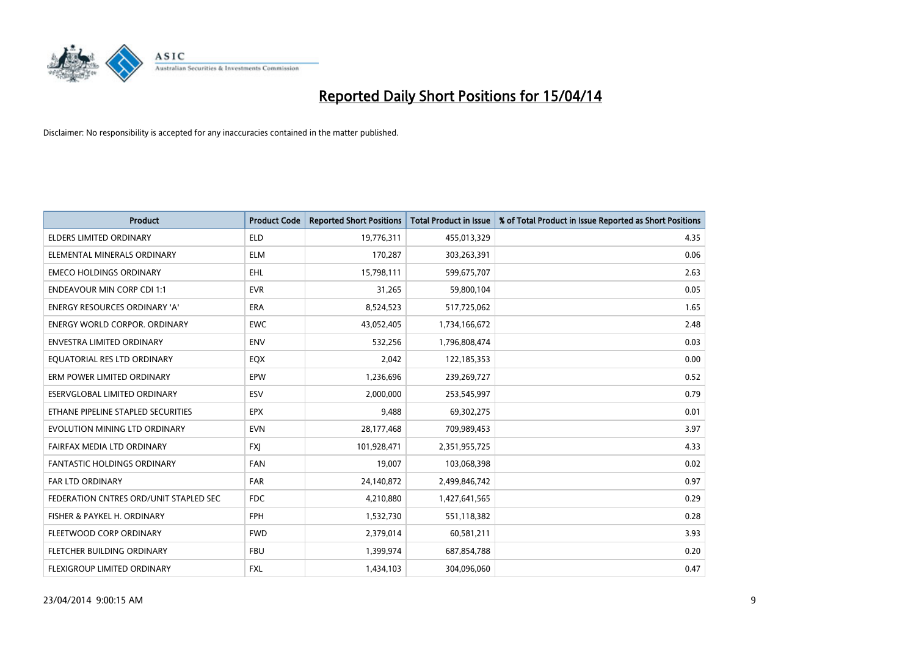

| <b>Product</b>                         | <b>Product Code</b> | <b>Reported Short Positions</b> | <b>Total Product in Issue</b> | % of Total Product in Issue Reported as Short Positions |
|----------------------------------------|---------------------|---------------------------------|-------------------------------|---------------------------------------------------------|
| <b>ELDERS LIMITED ORDINARY</b>         | <b>ELD</b>          | 19,776,311                      | 455,013,329                   | 4.35                                                    |
| ELEMENTAL MINERALS ORDINARY            | ELM                 | 170,287                         | 303,263,391                   | 0.06                                                    |
| <b>EMECO HOLDINGS ORDINARY</b>         | <b>EHL</b>          | 15,798,111                      | 599,675,707                   | 2.63                                                    |
| <b>ENDEAVOUR MIN CORP CDI 1:1</b>      | <b>EVR</b>          | 31,265                          | 59,800,104                    | 0.05                                                    |
| <b>ENERGY RESOURCES ORDINARY 'A'</b>   | ERA                 | 8,524,523                       | 517,725,062                   | 1.65                                                    |
| <b>ENERGY WORLD CORPOR, ORDINARY</b>   | <b>EWC</b>          | 43,052,405                      | 1,734,166,672                 | 2.48                                                    |
| <b>ENVESTRA LIMITED ORDINARY</b>       | <b>ENV</b>          | 532,256                         | 1,796,808,474                 | 0.03                                                    |
| EQUATORIAL RES LTD ORDINARY            | EQX                 | 2,042                           | 122,185,353                   | 0.00                                                    |
| ERM POWER LIMITED ORDINARY             | EPW                 | 1,236,696                       | 239,269,727                   | 0.52                                                    |
| ESERVGLOBAL LIMITED ORDINARY           | ESV                 | 2,000,000                       | 253,545,997                   | 0.79                                                    |
| ETHANE PIPELINE STAPLED SECURITIES     | <b>EPX</b>          | 9,488                           | 69,302,275                    | 0.01                                                    |
| EVOLUTION MINING LTD ORDINARY          | <b>EVN</b>          | 28,177,468                      | 709,989,453                   | 3.97                                                    |
| FAIRFAX MEDIA LTD ORDINARY             | <b>FXI</b>          | 101,928,471                     | 2,351,955,725                 | 4.33                                                    |
| <b>FANTASTIC HOLDINGS ORDINARY</b>     | <b>FAN</b>          | 19,007                          | 103,068,398                   | 0.02                                                    |
| <b>FAR LTD ORDINARY</b>                | <b>FAR</b>          | 24,140,872                      | 2,499,846,742                 | 0.97                                                    |
| FEDERATION CNTRES ORD/UNIT STAPLED SEC | <b>FDC</b>          | 4,210,880                       | 1,427,641,565                 | 0.29                                                    |
| FISHER & PAYKEL H. ORDINARY            | FPH                 | 1,532,730                       | 551,118,382                   | 0.28                                                    |
| FLEETWOOD CORP ORDINARY                | <b>FWD</b>          | 2,379,014                       | 60,581,211                    | 3.93                                                    |
| FLETCHER BUILDING ORDINARY             | <b>FBU</b>          | 1,399,974                       | 687,854,788                   | 0.20                                                    |
| FLEXIGROUP LIMITED ORDINARY            | FXL                 | 1,434,103                       | 304,096,060                   | 0.47                                                    |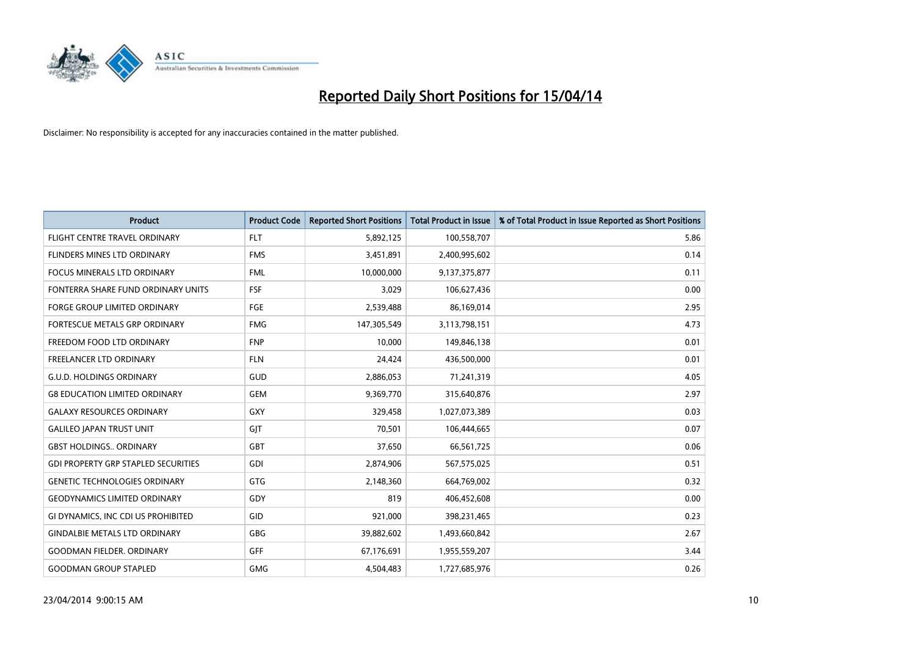

| <b>Product</b>                             | <b>Product Code</b> | <b>Reported Short Positions</b> | <b>Total Product in Issue</b> | % of Total Product in Issue Reported as Short Positions |
|--------------------------------------------|---------------------|---------------------------------|-------------------------------|---------------------------------------------------------|
| FLIGHT CENTRE TRAVEL ORDINARY              | <b>FLT</b>          | 5,892,125                       | 100,558,707                   | 5.86                                                    |
| FLINDERS MINES LTD ORDINARY                | <b>FMS</b>          | 3,451,891                       | 2,400,995,602                 | 0.14                                                    |
| <b>FOCUS MINERALS LTD ORDINARY</b>         | <b>FML</b>          | 10,000,000                      | 9,137,375,877                 | 0.11                                                    |
| FONTERRA SHARE FUND ORDINARY UNITS         | <b>FSF</b>          | 3,029                           | 106,627,436                   | 0.00                                                    |
| <b>FORGE GROUP LIMITED ORDINARY</b>        | <b>FGE</b>          | 2,539,488                       | 86,169,014                    | 2.95                                                    |
| <b>FORTESCUE METALS GRP ORDINARY</b>       | <b>FMG</b>          | 147,305,549                     | 3,113,798,151                 | 4.73                                                    |
| FREEDOM FOOD LTD ORDINARY                  | <b>FNP</b>          | 10.000                          | 149,846,138                   | 0.01                                                    |
| FREELANCER LTD ORDINARY                    | <b>FLN</b>          | 24,424                          | 436,500,000                   | 0.01                                                    |
| <b>G.U.D. HOLDINGS ORDINARY</b>            | GUD                 | 2,886,053                       | 71,241,319                    | 4.05                                                    |
| <b>G8 EDUCATION LIMITED ORDINARY</b>       | <b>GEM</b>          | 9,369,770                       | 315,640,876                   | 2.97                                                    |
| <b>GALAXY RESOURCES ORDINARY</b>           | <b>GXY</b>          | 329,458                         | 1,027,073,389                 | 0.03                                                    |
| <b>GALILEO JAPAN TRUST UNIT</b>            | GJT                 | 70,501                          | 106,444,665                   | 0.07                                                    |
| <b>GBST HOLDINGS ORDINARY</b>              | <b>GBT</b>          | 37,650                          | 66,561,725                    | 0.06                                                    |
| <b>GDI PROPERTY GRP STAPLED SECURITIES</b> | GDI                 | 2,874,906                       | 567,575,025                   | 0.51                                                    |
| <b>GENETIC TECHNOLOGIES ORDINARY</b>       | <b>GTG</b>          | 2,148,360                       | 664,769,002                   | 0.32                                                    |
| <b>GEODYNAMICS LIMITED ORDINARY</b>        | GDY                 | 819                             | 406,452,608                   | 0.00                                                    |
| GI DYNAMICS, INC CDI US PROHIBITED         | GID                 | 921,000                         | 398,231,465                   | 0.23                                                    |
| <b>GINDALBIE METALS LTD ORDINARY</b>       | <b>GBG</b>          | 39,882,602                      | 1,493,660,842                 | 2.67                                                    |
| <b>GOODMAN FIELDER, ORDINARY</b>           | <b>GFF</b>          | 67,176,691                      | 1,955,559,207                 | 3.44                                                    |
| <b>GOODMAN GROUP STAPLED</b>               | <b>GMG</b>          | 4,504,483                       | 1,727,685,976                 | 0.26                                                    |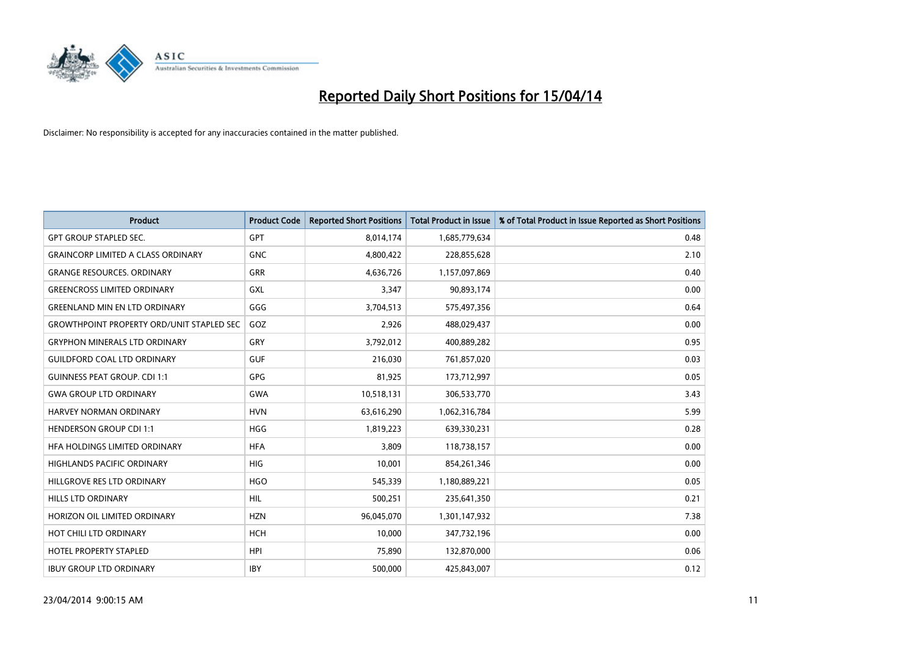

| <b>Product</b>                                   | <b>Product Code</b> | <b>Reported Short Positions</b> | <b>Total Product in Issue</b> | % of Total Product in Issue Reported as Short Positions |
|--------------------------------------------------|---------------------|---------------------------------|-------------------------------|---------------------------------------------------------|
| <b>GPT GROUP STAPLED SEC.</b>                    | GPT                 | 8,014,174                       | 1,685,779,634                 | 0.48                                                    |
| <b>GRAINCORP LIMITED A CLASS ORDINARY</b>        | <b>GNC</b>          | 4,800,422                       | 228,855,628                   | 2.10                                                    |
| <b>GRANGE RESOURCES, ORDINARY</b>                | <b>GRR</b>          | 4,636,726                       | 1,157,097,869                 | 0.40                                                    |
| <b>GREENCROSS LIMITED ORDINARY</b>               | <b>GXL</b>          | 3,347                           | 90,893,174                    | 0.00                                                    |
| <b>GREENLAND MIN EN LTD ORDINARY</b>             | GGG                 | 3,704,513                       | 575,497,356                   | 0.64                                                    |
| <b>GROWTHPOINT PROPERTY ORD/UNIT STAPLED SEC</b> | GOZ                 | 2,926                           | 488,029,437                   | 0.00                                                    |
| <b>GRYPHON MINERALS LTD ORDINARY</b>             | <b>GRY</b>          | 3,792,012                       | 400,889,282                   | 0.95                                                    |
| <b>GUILDFORD COAL LTD ORDINARY</b>               | <b>GUF</b>          | 216,030                         | 761,857,020                   | 0.03                                                    |
| <b>GUINNESS PEAT GROUP. CDI 1:1</b>              | <b>GPG</b>          | 81,925                          | 173,712,997                   | 0.05                                                    |
| <b>GWA GROUP LTD ORDINARY</b>                    | <b>GWA</b>          | 10,518,131                      | 306,533,770                   | 3.43                                                    |
| HARVEY NORMAN ORDINARY                           | <b>HVN</b>          | 63,616,290                      | 1,062,316,784                 | 5.99                                                    |
| <b>HENDERSON GROUP CDI 1:1</b>                   | HGG                 | 1,819,223                       | 639,330,231                   | 0.28                                                    |
| HFA HOLDINGS LIMITED ORDINARY                    | <b>HFA</b>          | 3,809                           | 118,738,157                   | 0.00                                                    |
| <b>HIGHLANDS PACIFIC ORDINARY</b>                | HIG                 | 10,001                          | 854,261,346                   | 0.00                                                    |
| HILLGROVE RES LTD ORDINARY                       | <b>HGO</b>          | 545,339                         | 1,180,889,221                 | 0.05                                                    |
| HILLS LTD ORDINARY                               | HIL                 | 500,251                         | 235,641,350                   | 0.21                                                    |
| HORIZON OIL LIMITED ORDINARY                     | <b>HZN</b>          | 96,045,070                      | 1,301,147,932                 | 7.38                                                    |
| HOT CHILI LTD ORDINARY                           | <b>HCH</b>          | 10,000                          | 347,732,196                   | 0.00                                                    |
| <b>HOTEL PROPERTY STAPLED</b>                    | <b>HPI</b>          | 75,890                          | 132,870,000                   | 0.06                                                    |
| <b>IBUY GROUP LTD ORDINARY</b>                   | <b>IBY</b>          | 500,000                         | 425,843,007                   | 0.12                                                    |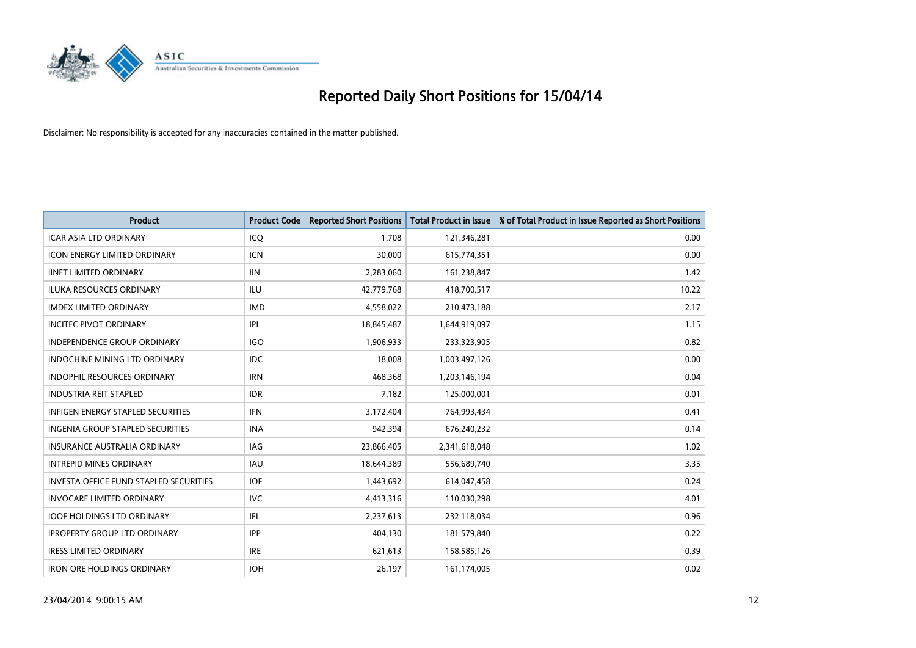

| <b>Product</b>                           | <b>Product Code</b> | <b>Reported Short Positions</b> | <b>Total Product in Issue</b> | % of Total Product in Issue Reported as Short Positions |
|------------------------------------------|---------------------|---------------------------------|-------------------------------|---------------------------------------------------------|
| <b>ICAR ASIA LTD ORDINARY</b>            | ICQ                 | 1,708                           | 121,346,281                   | 0.00                                                    |
| <b>ICON ENERGY LIMITED ORDINARY</b>      | <b>ICN</b>          | 30,000                          | 615,774,351                   | 0.00                                                    |
| <b>IINET LIMITED ORDINARY</b>            | <b>IIN</b>          | 2,283,060                       | 161,238,847                   | 1.42                                                    |
| ILUKA RESOURCES ORDINARY                 | ILU                 | 42,779,768                      | 418,700,517                   | 10.22                                                   |
| <b>IMDEX LIMITED ORDINARY</b>            | <b>IMD</b>          | 4,558,022                       | 210,473,188                   | 2.17                                                    |
| <b>INCITEC PIVOT ORDINARY</b>            | IPL                 | 18,845,487                      | 1,644,919,097                 | 1.15                                                    |
| <b>INDEPENDENCE GROUP ORDINARY</b>       | <b>IGO</b>          | 1,906,933                       | 233,323,905                   | 0.82                                                    |
| <b>INDOCHINE MINING LTD ORDINARY</b>     | <b>IDC</b>          | 18,008                          | 1,003,497,126                 | 0.00                                                    |
| <b>INDOPHIL RESOURCES ORDINARY</b>       | <b>IRN</b>          | 468,368                         | 1,203,146,194                 | 0.04                                                    |
| <b>INDUSTRIA REIT STAPLED</b>            | <b>IDR</b>          | 7,182                           | 125,000,001                   | 0.01                                                    |
| <b>INFIGEN ENERGY STAPLED SECURITIES</b> | <b>IFN</b>          | 3,172,404                       | 764,993,434                   | 0.41                                                    |
| <b>INGENIA GROUP STAPLED SECURITIES</b>  | <b>INA</b>          | 942,394                         | 676,240,232                   | 0.14                                                    |
| <b>INSURANCE AUSTRALIA ORDINARY</b>      | <b>IAG</b>          | 23,866,405                      | 2,341,618,048                 | 1.02                                                    |
| <b>INTREPID MINES ORDINARY</b>           | <b>IAU</b>          | 18,644,389                      | 556,689,740                   | 3.35                                                    |
| INVESTA OFFICE FUND STAPLED SECURITIES   | <b>IOF</b>          | 1,443,692                       | 614,047,458                   | 0.24                                                    |
| <b>INVOCARE LIMITED ORDINARY</b>         | <b>IVC</b>          | 4,413,316                       | 110,030,298                   | 4.01                                                    |
| <b>IOOF HOLDINGS LTD ORDINARY</b>        | IFL                 | 2,237,613                       | 232,118,034                   | 0.96                                                    |
| <b>IPROPERTY GROUP LTD ORDINARY</b>      | <b>IPP</b>          | 404,130                         | 181,579,840                   | 0.22                                                    |
| <b>IRESS LIMITED ORDINARY</b>            | <b>IRE</b>          | 621,613                         | 158,585,126                   | 0.39                                                    |
| <b>IRON ORE HOLDINGS ORDINARY</b>        | <b>IOH</b>          | 26,197                          | 161,174,005                   | 0.02                                                    |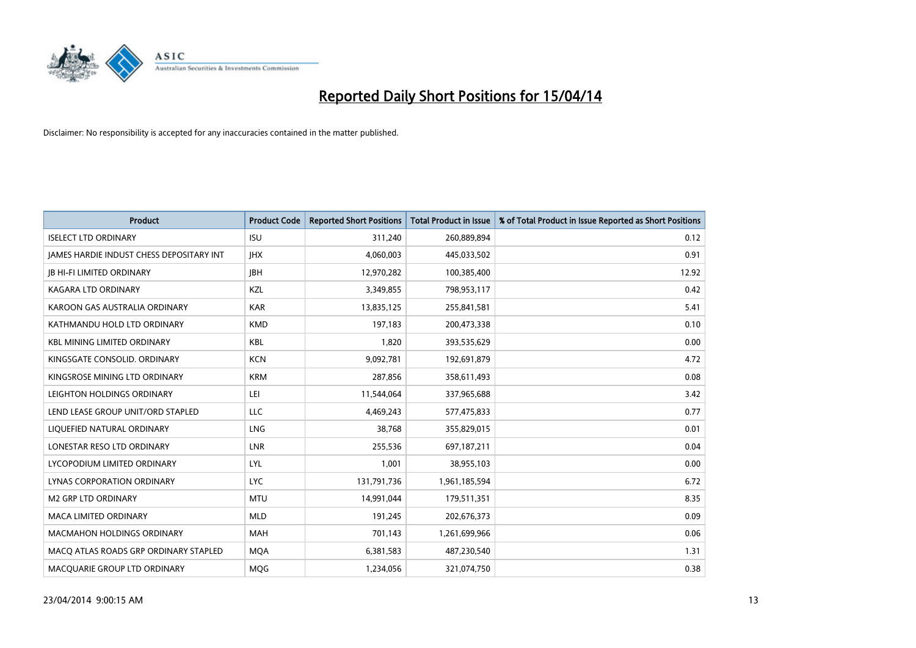

| <b>Product</b>                           | <b>Product Code</b> | <b>Reported Short Positions</b> | <b>Total Product in Issue</b> | % of Total Product in Issue Reported as Short Positions |
|------------------------------------------|---------------------|---------------------------------|-------------------------------|---------------------------------------------------------|
| <b>ISELECT LTD ORDINARY</b>              | <b>ISU</b>          | 311,240                         | 260,889,894                   | 0.12                                                    |
| JAMES HARDIE INDUST CHESS DEPOSITARY INT | <b>IHX</b>          | 4,060,003                       | 445,033,502                   | 0.91                                                    |
| <b>JB HI-FI LIMITED ORDINARY</b>         | <b>IBH</b>          | 12,970,282                      | 100,385,400                   | 12.92                                                   |
| <b>KAGARA LTD ORDINARY</b>               | KZL                 | 3,349,855                       | 798,953,117                   | 0.42                                                    |
| KAROON GAS AUSTRALIA ORDINARY            | <b>KAR</b>          | 13,835,125                      | 255,841,581                   | 5.41                                                    |
| KATHMANDU HOLD LTD ORDINARY              | <b>KMD</b>          | 197,183                         | 200,473,338                   | 0.10                                                    |
| <b>KBL MINING LIMITED ORDINARY</b>       | KBL                 | 1,820                           | 393,535,629                   | 0.00                                                    |
| KINGSGATE CONSOLID. ORDINARY             | <b>KCN</b>          | 9,092,781                       | 192,691,879                   | 4.72                                                    |
| KINGSROSE MINING LTD ORDINARY            | <b>KRM</b>          | 287,856                         | 358,611,493                   | 0.08                                                    |
| LEIGHTON HOLDINGS ORDINARY               | LEI.                | 11,544,064                      | 337,965,688                   | 3.42                                                    |
| LEND LEASE GROUP UNIT/ORD STAPLED        | <b>LLC</b>          | 4,469,243                       | 577,475,833                   | 0.77                                                    |
| LIQUEFIED NATURAL ORDINARY               | LNG                 | 38,768                          | 355,829,015                   | 0.01                                                    |
| LONESTAR RESO LTD ORDINARY               | <b>LNR</b>          | 255,536                         | 697,187,211                   | 0.04                                                    |
| LYCOPODIUM LIMITED ORDINARY              | <b>LYL</b>          | 1,001                           | 38,955,103                    | 0.00                                                    |
| LYNAS CORPORATION ORDINARY               | <b>LYC</b>          | 131,791,736                     | 1,961,185,594                 | 6.72                                                    |
| M2 GRP LTD ORDINARY                      | <b>MTU</b>          | 14,991,044                      | 179,511,351                   | 8.35                                                    |
| MACA LIMITED ORDINARY                    | <b>MLD</b>          | 191,245                         | 202,676,373                   | 0.09                                                    |
| <b>MACMAHON HOLDINGS ORDINARY</b>        | <b>MAH</b>          | 701,143                         | 1,261,699,966                 | 0.06                                                    |
| MACO ATLAS ROADS GRP ORDINARY STAPLED    | <b>MOA</b>          | 6,381,583                       | 487,230,540                   | 1.31                                                    |
| MACQUARIE GROUP LTD ORDINARY             | <b>MOG</b>          | 1,234,056                       | 321,074,750                   | 0.38                                                    |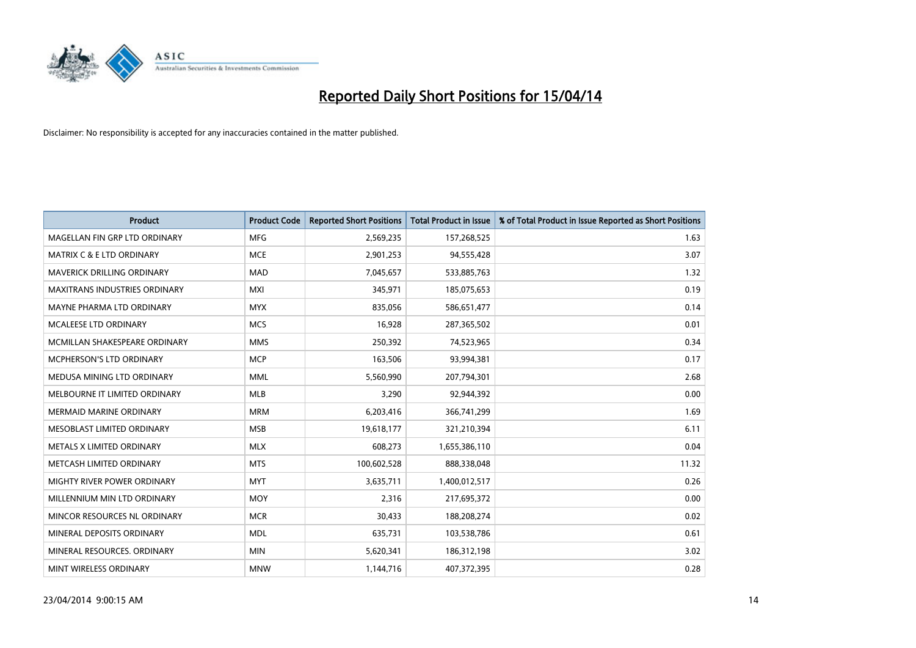

| <b>Product</b>                       | <b>Product Code</b> | <b>Reported Short Positions</b> | <b>Total Product in Issue</b> | % of Total Product in Issue Reported as Short Positions |
|--------------------------------------|---------------------|---------------------------------|-------------------------------|---------------------------------------------------------|
| MAGELLAN FIN GRP LTD ORDINARY        | <b>MFG</b>          | 2,569,235                       | 157,268,525                   | 1.63                                                    |
| <b>MATRIX C &amp; E LTD ORDINARY</b> | <b>MCE</b>          | 2,901,253                       | 94,555,428                    | 3.07                                                    |
| <b>MAVERICK DRILLING ORDINARY</b>    | <b>MAD</b>          | 7,045,657                       | 533,885,763                   | 1.32                                                    |
| <b>MAXITRANS INDUSTRIES ORDINARY</b> | <b>MXI</b>          | 345,971                         | 185,075,653                   | 0.19                                                    |
| MAYNE PHARMA LTD ORDINARY            | <b>MYX</b>          | 835,056                         | 586,651,477                   | 0.14                                                    |
| MCALEESE LTD ORDINARY                | <b>MCS</b>          | 16,928                          | 287,365,502                   | 0.01                                                    |
| MCMILLAN SHAKESPEARE ORDINARY        | <b>MMS</b>          | 250,392                         | 74,523,965                    | 0.34                                                    |
| MCPHERSON'S LTD ORDINARY             | <b>MCP</b>          | 163,506                         | 93,994,381                    | 0.17                                                    |
| MEDUSA MINING LTD ORDINARY           | <b>MML</b>          | 5,560,990                       | 207,794,301                   | 2.68                                                    |
| MELBOURNE IT LIMITED ORDINARY        | <b>MLB</b>          | 3,290                           | 92,944,392                    | 0.00                                                    |
| MERMAID MARINE ORDINARY              | <b>MRM</b>          | 6,203,416                       | 366,741,299                   | 1.69                                                    |
| MESOBLAST LIMITED ORDINARY           | <b>MSB</b>          | 19,618,177                      | 321,210,394                   | 6.11                                                    |
| METALS X LIMITED ORDINARY            | <b>MLX</b>          | 608,273                         | 1,655,386,110                 | 0.04                                                    |
| METCASH LIMITED ORDINARY             | <b>MTS</b>          | 100,602,528                     | 888,338,048                   | 11.32                                                   |
| MIGHTY RIVER POWER ORDINARY          | <b>MYT</b>          | 3,635,711                       | 1,400,012,517                 | 0.26                                                    |
| MILLENNIUM MIN LTD ORDINARY          | <b>MOY</b>          | 2,316                           | 217,695,372                   | 0.00                                                    |
| MINCOR RESOURCES NL ORDINARY         | <b>MCR</b>          | 30,433                          | 188,208,274                   | 0.02                                                    |
| MINERAL DEPOSITS ORDINARY            | <b>MDL</b>          | 635,731                         | 103,538,786                   | 0.61                                                    |
| MINERAL RESOURCES, ORDINARY          | <b>MIN</b>          | 5,620,341                       | 186,312,198                   | 3.02                                                    |
| MINT WIRELESS ORDINARY               | <b>MNW</b>          | 1,144,716                       | 407,372,395                   | 0.28                                                    |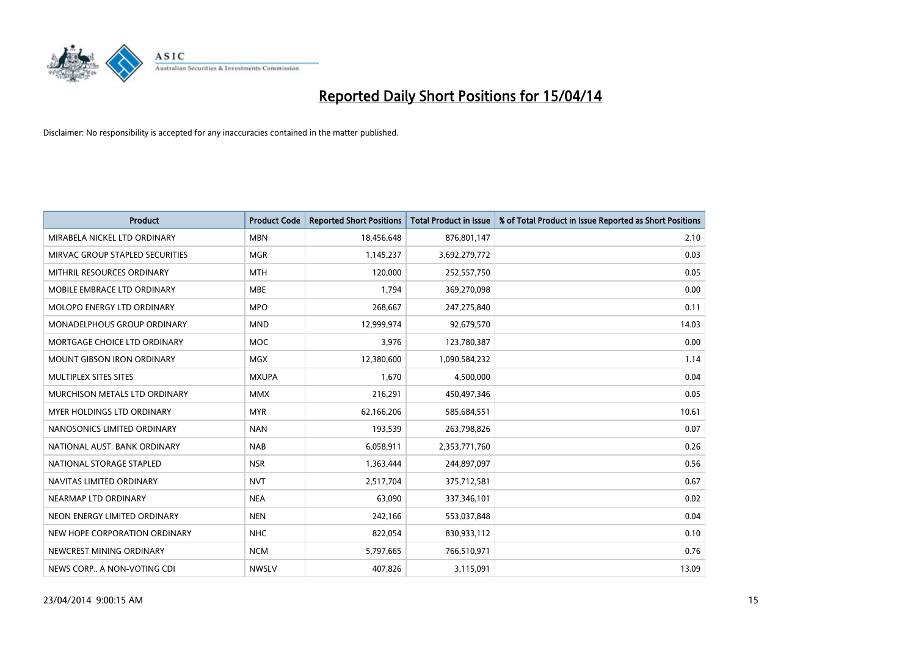

| <b>Product</b>                  | <b>Product Code</b> | <b>Reported Short Positions</b> | <b>Total Product in Issue</b> | % of Total Product in Issue Reported as Short Positions |
|---------------------------------|---------------------|---------------------------------|-------------------------------|---------------------------------------------------------|
| MIRABELA NICKEL LTD ORDINARY    | <b>MBN</b>          | 18,456,648                      | 876,801,147                   | 2.10                                                    |
| MIRVAC GROUP STAPLED SECURITIES | <b>MGR</b>          | 1,145,237                       | 3,692,279,772                 | 0.03                                                    |
| MITHRIL RESOURCES ORDINARY      | <b>MTH</b>          | 120,000                         | 252,557,750                   | 0.05                                                    |
| MOBILE EMBRACE LTD ORDINARY     | <b>MBE</b>          | 1,794                           | 369,270,098                   | 0.00                                                    |
| MOLOPO ENERGY LTD ORDINARY      | <b>MPO</b>          | 268,667                         | 247,275,840                   | 0.11                                                    |
| MONADELPHOUS GROUP ORDINARY     | <b>MND</b>          | 12,999,974                      | 92,679,570                    | 14.03                                                   |
| MORTGAGE CHOICE LTD ORDINARY    | MOC                 | 3,976                           | 123,780,387                   | 0.00                                                    |
| MOUNT GIBSON IRON ORDINARY      | <b>MGX</b>          | 12,380,600                      | 1,090,584,232                 | 1.14                                                    |
| MULTIPLEX SITES SITES           | <b>MXUPA</b>        | 1,670                           | 4,500,000                     | 0.04                                                    |
| MURCHISON METALS LTD ORDINARY   | <b>MMX</b>          | 216,291                         | 450,497,346                   | 0.05                                                    |
| MYER HOLDINGS LTD ORDINARY      | <b>MYR</b>          | 62,166,206                      | 585,684,551                   | 10.61                                                   |
| NANOSONICS LIMITED ORDINARY     | <b>NAN</b>          | 193,539                         | 263,798,826                   | 0.07                                                    |
| NATIONAL AUST, BANK ORDINARY    | <b>NAB</b>          | 6,058,911                       | 2,353,771,760                 | 0.26                                                    |
| NATIONAL STORAGE STAPLED        | <b>NSR</b>          | 1,363,444                       | 244,897,097                   | 0.56                                                    |
| NAVITAS LIMITED ORDINARY        | <b>NVT</b>          | 2,517,704                       | 375,712,581                   | 0.67                                                    |
| NEARMAP LTD ORDINARY            | <b>NEA</b>          | 63,090                          | 337,346,101                   | 0.02                                                    |
| NEON ENERGY LIMITED ORDINARY    | <b>NEN</b>          | 242,166                         | 553,037,848                   | 0.04                                                    |
| NEW HOPE CORPORATION ORDINARY   | <b>NHC</b>          | 822,054                         | 830,933,112                   | 0.10                                                    |
| NEWCREST MINING ORDINARY        | <b>NCM</b>          | 5,797,665                       | 766,510,971                   | 0.76                                                    |
| NEWS CORP A NON-VOTING CDI      | <b>NWSLV</b>        | 407,826                         | 3,115,091                     | 13.09                                                   |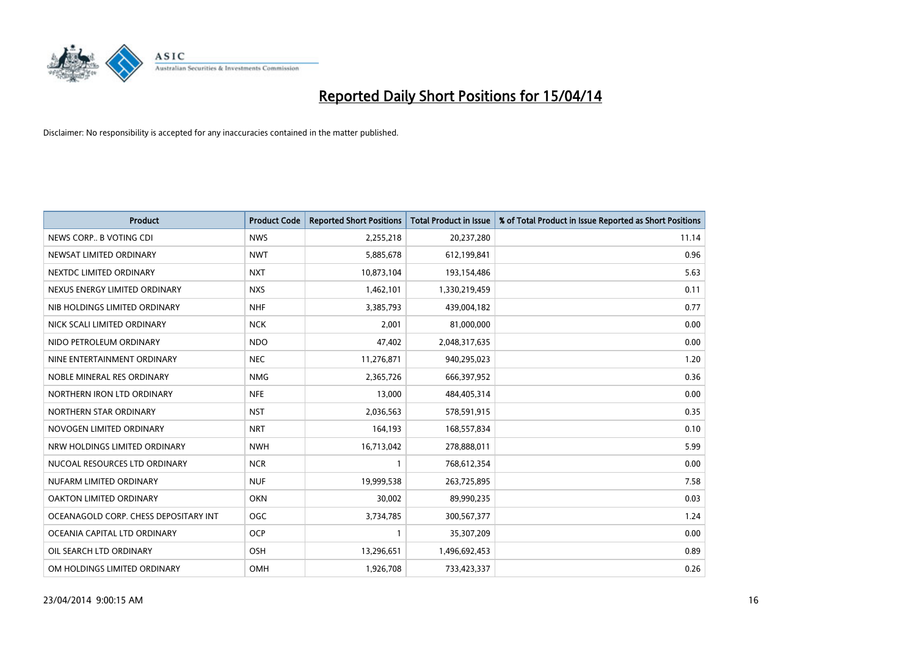

| <b>Product</b>                        | <b>Product Code</b> | <b>Reported Short Positions</b> | <b>Total Product in Issue</b> | % of Total Product in Issue Reported as Short Positions |
|---------------------------------------|---------------------|---------------------------------|-------------------------------|---------------------------------------------------------|
| NEWS CORP B VOTING CDI                | <b>NWS</b>          | 2,255,218                       | 20,237,280                    | 11.14                                                   |
| NEWSAT LIMITED ORDINARY               | <b>NWT</b>          | 5,885,678                       | 612,199,841                   | 0.96                                                    |
| NEXTDC LIMITED ORDINARY               | <b>NXT</b>          | 10,873,104                      | 193,154,486                   | 5.63                                                    |
| NEXUS ENERGY LIMITED ORDINARY         | <b>NXS</b>          | 1,462,101                       | 1,330,219,459                 | 0.11                                                    |
| NIB HOLDINGS LIMITED ORDINARY         | <b>NHF</b>          | 3,385,793                       | 439,004,182                   | 0.77                                                    |
| NICK SCALI LIMITED ORDINARY           | <b>NCK</b>          | 2,001                           | 81,000,000                    | 0.00                                                    |
| NIDO PETROLEUM ORDINARY               | <b>NDO</b>          | 47,402                          | 2,048,317,635                 | 0.00                                                    |
| NINE ENTERTAINMENT ORDINARY           | <b>NEC</b>          | 11,276,871                      | 940,295,023                   | 1.20                                                    |
| NOBLE MINERAL RES ORDINARY            | <b>NMG</b>          | 2,365,726                       | 666,397,952                   | 0.36                                                    |
| NORTHERN IRON LTD ORDINARY            | <b>NFE</b>          | 13,000                          | 484,405,314                   | 0.00                                                    |
| NORTHERN STAR ORDINARY                | <b>NST</b>          | 2,036,563                       | 578,591,915                   | 0.35                                                    |
| NOVOGEN LIMITED ORDINARY              | <b>NRT</b>          | 164,193                         | 168,557,834                   | 0.10                                                    |
| NRW HOLDINGS LIMITED ORDINARY         | <b>NWH</b>          | 16,713,042                      | 278,888,011                   | 5.99                                                    |
| NUCOAL RESOURCES LTD ORDINARY         | <b>NCR</b>          | 1                               | 768,612,354                   | 0.00                                                    |
| NUFARM LIMITED ORDINARY               | <b>NUF</b>          | 19,999,538                      | 263,725,895                   | 7.58                                                    |
| OAKTON LIMITED ORDINARY               | <b>OKN</b>          | 30,002                          | 89,990,235                    | 0.03                                                    |
| OCEANAGOLD CORP. CHESS DEPOSITARY INT | <b>OGC</b>          | 3,734,785                       | 300,567,377                   | 1.24                                                    |
| OCEANIA CAPITAL LTD ORDINARY          | <b>OCP</b>          | 1                               | 35,307,209                    | 0.00                                                    |
| OIL SEARCH LTD ORDINARY               | OSH                 | 13,296,651                      | 1,496,692,453                 | 0.89                                                    |
| OM HOLDINGS LIMITED ORDINARY          | OMH                 | 1,926,708                       | 733,423,337                   | 0.26                                                    |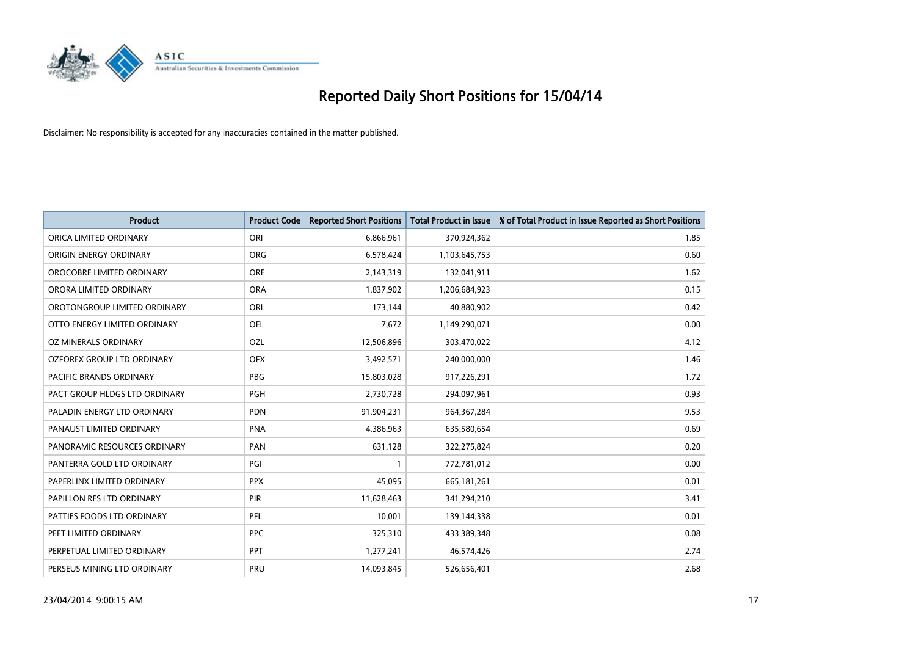

| <b>Product</b>                 | <b>Product Code</b> | <b>Reported Short Positions</b> | <b>Total Product in Issue</b> | % of Total Product in Issue Reported as Short Positions |
|--------------------------------|---------------------|---------------------------------|-------------------------------|---------------------------------------------------------|
| ORICA LIMITED ORDINARY         | ORI                 | 6,866,961                       | 370,924,362                   | 1.85                                                    |
| ORIGIN ENERGY ORDINARY         | <b>ORG</b>          | 6,578,424                       | 1,103,645,753                 | 0.60                                                    |
| OROCOBRE LIMITED ORDINARY      | <b>ORE</b>          | 2,143,319                       | 132,041,911                   | 1.62                                                    |
| ORORA LIMITED ORDINARY         | <b>ORA</b>          | 1,837,902                       | 1,206,684,923                 | 0.15                                                    |
| OROTONGROUP LIMITED ORDINARY   | ORL                 | 173,144                         | 40,880,902                    | 0.42                                                    |
| OTTO ENERGY LIMITED ORDINARY   | <b>OEL</b>          | 7,672                           | 1,149,290,071                 | 0.00                                                    |
| <b>OZ MINERALS ORDINARY</b>    | OZL                 | 12,506,896                      | 303,470,022                   | 4.12                                                    |
| OZFOREX GROUP LTD ORDINARY     | <b>OFX</b>          | 3,492,571                       | 240,000,000                   | 1.46                                                    |
| <b>PACIFIC BRANDS ORDINARY</b> | <b>PBG</b>          | 15,803,028                      | 917,226,291                   | 1.72                                                    |
| PACT GROUP HLDGS LTD ORDINARY  | <b>PGH</b>          | 2,730,728                       | 294,097,961                   | 0.93                                                    |
| PALADIN ENERGY LTD ORDINARY    | PDN                 | 91,904,231                      | 964,367,284                   | 9.53                                                    |
| PANAUST LIMITED ORDINARY       | <b>PNA</b>          | 4,386,963                       | 635,580,654                   | 0.69                                                    |
| PANORAMIC RESOURCES ORDINARY   | PAN                 | 631,128                         | 322,275,824                   | 0.20                                                    |
| PANTERRA GOLD LTD ORDINARY     | PGI                 | 1                               | 772,781,012                   | 0.00                                                    |
| PAPERLINX LIMITED ORDINARY     | <b>PPX</b>          | 45,095                          | 665, 181, 261                 | 0.01                                                    |
| PAPILLON RES LTD ORDINARY      | PIR                 | 11,628,463                      | 341,294,210                   | 3.41                                                    |
| PATTIES FOODS LTD ORDINARY     | PFL                 | 10,001                          | 139,144,338                   | 0.01                                                    |
| PEET LIMITED ORDINARY          | <b>PPC</b>          | 325,310                         | 433,389,348                   | 0.08                                                    |
| PERPETUAL LIMITED ORDINARY     | <b>PPT</b>          | 1,277,241                       | 46,574,426                    | 2.74                                                    |
| PERSEUS MINING LTD ORDINARY    | PRU                 | 14,093,845                      | 526,656,401                   | 2.68                                                    |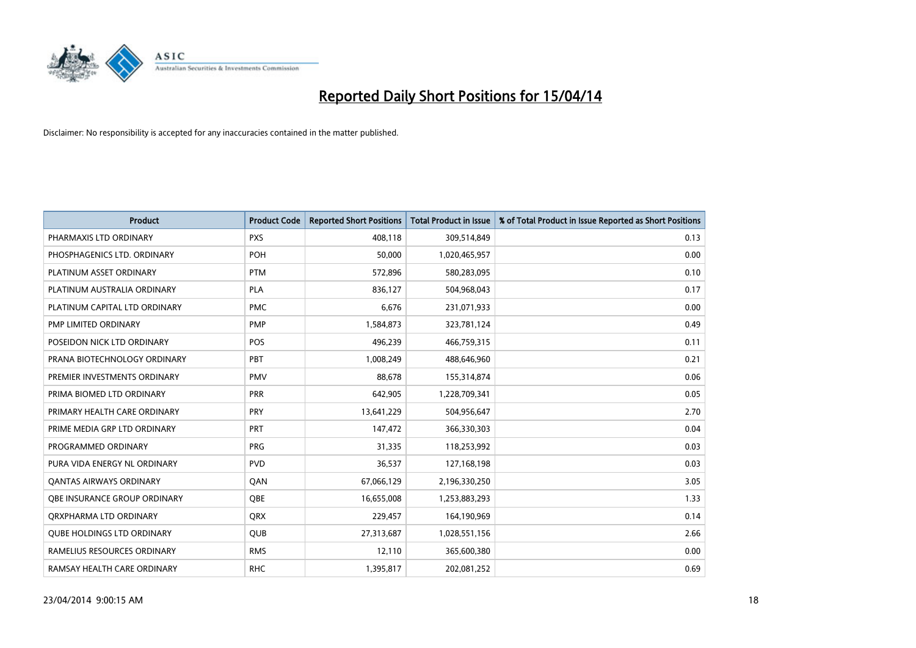

| <b>Product</b>                    | <b>Product Code</b> | <b>Reported Short Positions</b> | <b>Total Product in Issue</b> | % of Total Product in Issue Reported as Short Positions |
|-----------------------------------|---------------------|---------------------------------|-------------------------------|---------------------------------------------------------|
| PHARMAXIS LTD ORDINARY            | <b>PXS</b>          | 408,118                         | 309,514,849                   | 0.13                                                    |
| PHOSPHAGENICS LTD. ORDINARY       | POH                 | 50,000                          | 1,020,465,957                 | 0.00                                                    |
| PLATINUM ASSET ORDINARY           | <b>PTM</b>          | 572,896                         | 580,283,095                   | 0.10                                                    |
| PLATINUM AUSTRALIA ORDINARY       | <b>PLA</b>          | 836,127                         | 504,968,043                   | 0.17                                                    |
| PLATINUM CAPITAL LTD ORDINARY     | <b>PMC</b>          | 6,676                           | 231,071,933                   | 0.00                                                    |
| PMP LIMITED ORDINARY              | <b>PMP</b>          | 1,584,873                       | 323,781,124                   | 0.49                                                    |
| POSEIDON NICK LTD ORDINARY        | <b>POS</b>          | 496,239                         | 466,759,315                   | 0.11                                                    |
| PRANA BIOTECHNOLOGY ORDINARY      | <b>PBT</b>          | 1,008,249                       | 488,646,960                   | 0.21                                                    |
| PREMIER INVESTMENTS ORDINARY      | <b>PMV</b>          | 88,678                          | 155,314,874                   | 0.06                                                    |
| PRIMA BIOMED LTD ORDINARY         | <b>PRR</b>          | 642,905                         | 1,228,709,341                 | 0.05                                                    |
| PRIMARY HEALTH CARE ORDINARY      | <b>PRY</b>          | 13,641,229                      | 504,956,647                   | 2.70                                                    |
| PRIME MEDIA GRP LTD ORDINARY      | <b>PRT</b>          | 147,472                         | 366,330,303                   | 0.04                                                    |
| PROGRAMMED ORDINARY               | <b>PRG</b>          | 31,335                          | 118,253,992                   | 0.03                                                    |
| PURA VIDA ENERGY NL ORDINARY      | <b>PVD</b>          | 36,537                          | 127,168,198                   | 0.03                                                    |
| <b>QANTAS AIRWAYS ORDINARY</b>    | QAN                 | 67,066,129                      | 2,196,330,250                 | 3.05                                                    |
| OBE INSURANCE GROUP ORDINARY      | <b>OBE</b>          | 16,655,008                      | 1,253,883,293                 | 1.33                                                    |
| ORXPHARMA LTD ORDINARY            | <b>QRX</b>          | 229,457                         | 164,190,969                   | 0.14                                                    |
| <b>OUBE HOLDINGS LTD ORDINARY</b> | <b>QUB</b>          | 27,313,687                      | 1,028,551,156                 | 2.66                                                    |
| RAMELIUS RESOURCES ORDINARY       | <b>RMS</b>          | 12,110                          | 365,600,380                   | 0.00                                                    |
| RAMSAY HEALTH CARE ORDINARY       | <b>RHC</b>          | 1,395,817                       | 202,081,252                   | 0.69                                                    |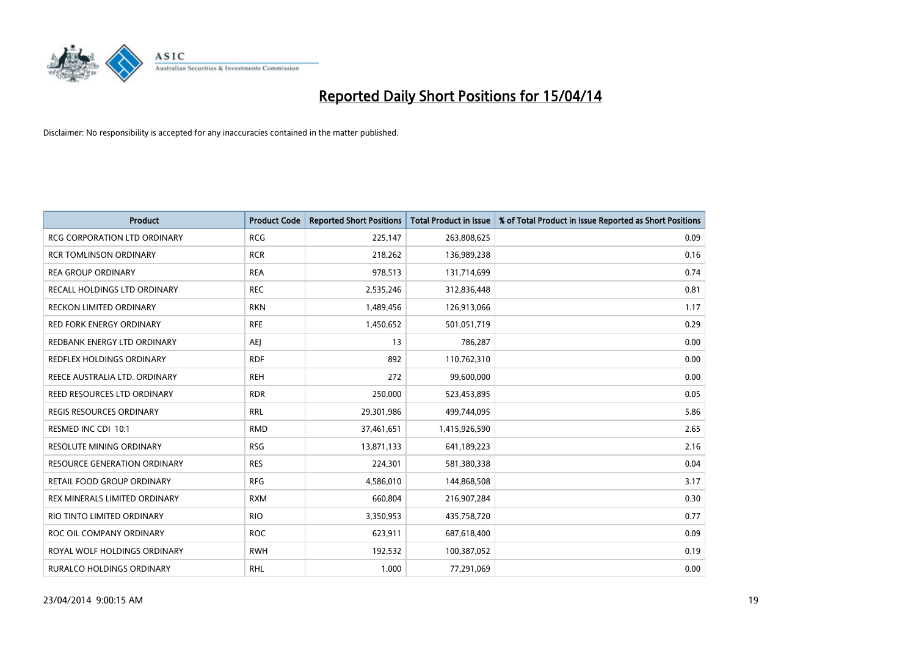

| <b>Product</b>                      | <b>Product Code</b> | <b>Reported Short Positions</b> | <b>Total Product in Issue</b> | % of Total Product in Issue Reported as Short Positions |
|-------------------------------------|---------------------|---------------------------------|-------------------------------|---------------------------------------------------------|
| <b>RCG CORPORATION LTD ORDINARY</b> | <b>RCG</b>          | 225,147                         | 263,808,625                   | 0.09                                                    |
| <b>RCR TOMLINSON ORDINARY</b>       | <b>RCR</b>          | 218,262                         | 136,989,238                   | 0.16                                                    |
| <b>REA GROUP ORDINARY</b>           | <b>REA</b>          | 978,513                         | 131,714,699                   | 0.74                                                    |
| RECALL HOLDINGS LTD ORDINARY        | <b>REC</b>          | 2,535,246                       | 312,836,448                   | 0.81                                                    |
| <b>RECKON LIMITED ORDINARY</b>      | <b>RKN</b>          | 1,489,456                       | 126,913,066                   | 1.17                                                    |
| <b>RED FORK ENERGY ORDINARY</b>     | <b>RFE</b>          | 1,450,652                       | 501,051,719                   | 0.29                                                    |
| REDBANK ENERGY LTD ORDINARY         | AEJ                 | 13                              | 786,287                       | 0.00                                                    |
| REDFLEX HOLDINGS ORDINARY           | <b>RDF</b>          | 892                             | 110,762,310                   | 0.00                                                    |
| REECE AUSTRALIA LTD. ORDINARY       | <b>REH</b>          | 272                             | 99,600,000                    | 0.00                                                    |
| REED RESOURCES LTD ORDINARY         | <b>RDR</b>          | 250,000                         | 523,453,895                   | 0.05                                                    |
| REGIS RESOURCES ORDINARY            | <b>RRL</b>          | 29,301,986                      | 499,744,095                   | 5.86                                                    |
| RESMED INC CDI 10:1                 | <b>RMD</b>          | 37,461,651                      | 1,415,926,590                 | 2.65                                                    |
| RESOLUTE MINING ORDINARY            | <b>RSG</b>          | 13,871,133                      | 641,189,223                   | 2.16                                                    |
| RESOURCE GENERATION ORDINARY        | <b>RES</b>          | 224,301                         | 581,380,338                   | 0.04                                                    |
| RETAIL FOOD GROUP ORDINARY          | <b>RFG</b>          | 4,586,010                       | 144,868,508                   | 3.17                                                    |
| REX MINERALS LIMITED ORDINARY       | <b>RXM</b>          | 660,804                         | 216,907,284                   | 0.30                                                    |
| RIO TINTO LIMITED ORDINARY          | <b>RIO</b>          | 3,350,953                       | 435,758,720                   | 0.77                                                    |
| ROC OIL COMPANY ORDINARY            | <b>ROC</b>          | 623,911                         | 687,618,400                   | 0.09                                                    |
| ROYAL WOLF HOLDINGS ORDINARY        | <b>RWH</b>          | 192,532                         | 100,387,052                   | 0.19                                                    |
| RURALCO HOLDINGS ORDINARY           | <b>RHL</b>          | 1,000                           | 77,291,069                    | 0.00                                                    |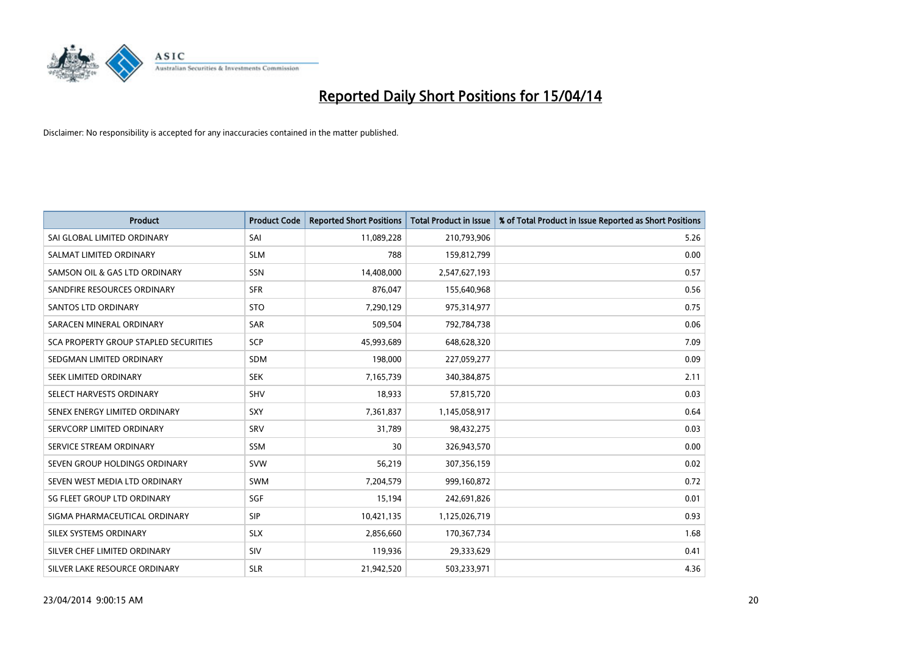

| <b>Product</b>                        | <b>Product Code</b> | <b>Reported Short Positions</b> | <b>Total Product in Issue</b> | % of Total Product in Issue Reported as Short Positions |
|---------------------------------------|---------------------|---------------------------------|-------------------------------|---------------------------------------------------------|
| SAI GLOBAL LIMITED ORDINARY           | SAI                 | 11,089,228                      | 210,793,906                   | 5.26                                                    |
| SALMAT LIMITED ORDINARY               | <b>SLM</b>          | 788                             | 159,812,799                   | 0.00                                                    |
| SAMSON OIL & GAS LTD ORDINARY         | SSN                 | 14,408,000                      | 2,547,627,193                 | 0.57                                                    |
| SANDFIRE RESOURCES ORDINARY           | <b>SFR</b>          | 876.047                         | 155,640,968                   | 0.56                                                    |
| <b>SANTOS LTD ORDINARY</b>            | <b>STO</b>          | 7,290,129                       | 975,314,977                   | 0.75                                                    |
| SARACEN MINERAL ORDINARY              | <b>SAR</b>          | 509,504                         | 792,784,738                   | 0.06                                                    |
| SCA PROPERTY GROUP STAPLED SECURITIES | <b>SCP</b>          | 45,993,689                      | 648,628,320                   | 7.09                                                    |
| SEDGMAN LIMITED ORDINARY              | <b>SDM</b>          | 198,000                         | 227,059,277                   | 0.09                                                    |
| SEEK LIMITED ORDINARY                 | <b>SEK</b>          | 7,165,739                       | 340,384,875                   | 2.11                                                    |
| SELECT HARVESTS ORDINARY              | SHV                 | 18,933                          | 57,815,720                    | 0.03                                                    |
| SENEX ENERGY LIMITED ORDINARY         | SXY                 | 7,361,837                       | 1,145,058,917                 | 0.64                                                    |
| SERVCORP LIMITED ORDINARY             | SRV                 | 31,789                          | 98,432,275                    | 0.03                                                    |
| SERVICE STREAM ORDINARY               | <b>SSM</b>          | 30                              | 326,943,570                   | 0.00                                                    |
| SEVEN GROUP HOLDINGS ORDINARY         | <b>SVW</b>          | 56,219                          | 307,356,159                   | 0.02                                                    |
| SEVEN WEST MEDIA LTD ORDINARY         | SWM                 | 7,204,579                       | 999,160,872                   | 0.72                                                    |
| SG FLEET GROUP LTD ORDINARY           | SGF                 | 15,194                          | 242,691,826                   | 0.01                                                    |
| SIGMA PHARMACEUTICAL ORDINARY         | <b>SIP</b>          | 10,421,135                      | 1,125,026,719                 | 0.93                                                    |
| SILEX SYSTEMS ORDINARY                | <b>SLX</b>          | 2,856,660                       | 170,367,734                   | 1.68                                                    |
| SILVER CHEF LIMITED ORDINARY          | SIV                 | 119,936                         | 29,333,629                    | 0.41                                                    |
| SILVER LAKE RESOURCE ORDINARY         | <b>SLR</b>          | 21,942,520                      | 503,233,971                   | 4.36                                                    |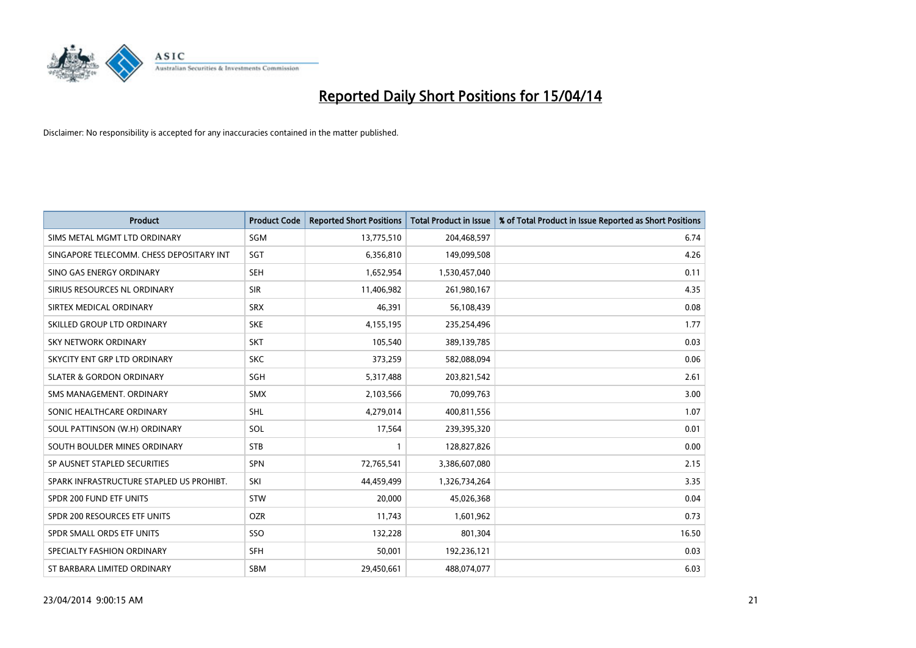

| <b>Product</b>                           | <b>Product Code</b> | <b>Reported Short Positions</b> | <b>Total Product in Issue</b> | % of Total Product in Issue Reported as Short Positions |
|------------------------------------------|---------------------|---------------------------------|-------------------------------|---------------------------------------------------------|
| SIMS METAL MGMT LTD ORDINARY             | <b>SGM</b>          | 13,775,510                      | 204,468,597                   | 6.74                                                    |
| SINGAPORE TELECOMM. CHESS DEPOSITARY INT | <b>SGT</b>          | 6,356,810                       | 149,099,508                   | 4.26                                                    |
| SINO GAS ENERGY ORDINARY                 | <b>SEH</b>          | 1,652,954                       | 1,530,457,040                 | 0.11                                                    |
| SIRIUS RESOURCES NL ORDINARY             | <b>SIR</b>          | 11,406,982                      | 261,980,167                   | 4.35                                                    |
| SIRTEX MEDICAL ORDINARY                  | <b>SRX</b>          | 46,391                          | 56,108,439                    | 0.08                                                    |
| SKILLED GROUP LTD ORDINARY               | <b>SKE</b>          | 4,155,195                       | 235,254,496                   | 1.77                                                    |
| <b>SKY NETWORK ORDINARY</b>              | <b>SKT</b>          | 105,540                         | 389,139,785                   | 0.03                                                    |
| SKYCITY ENT GRP LTD ORDINARY             | <b>SKC</b>          | 373,259                         | 582,088,094                   | 0.06                                                    |
| <b>SLATER &amp; GORDON ORDINARY</b>      | SGH                 | 5,317,488                       | 203,821,542                   | 2.61                                                    |
| SMS MANAGEMENT, ORDINARY                 | <b>SMX</b>          | 2,103,566                       | 70,099,763                    | 3.00                                                    |
| SONIC HEALTHCARE ORDINARY                | SHL                 | 4,279,014                       | 400,811,556                   | 1.07                                                    |
| SOUL PATTINSON (W.H) ORDINARY            | SOL                 | 17,564                          | 239,395,320                   | 0.01                                                    |
| SOUTH BOULDER MINES ORDINARY             | <b>STB</b>          | 1                               | 128,827,826                   | 0.00                                                    |
| SP AUSNET STAPLED SECURITIES             | <b>SPN</b>          | 72,765,541                      | 3,386,607,080                 | 2.15                                                    |
| SPARK INFRASTRUCTURE STAPLED US PROHIBT. | SKI                 | 44,459,499                      | 1,326,734,264                 | 3.35                                                    |
| SPDR 200 FUND ETF UNITS                  | <b>STW</b>          | 20,000                          | 45,026,368                    | 0.04                                                    |
| SPDR 200 RESOURCES ETF UNITS             | <b>OZR</b>          | 11,743                          | 1,601,962                     | 0.73                                                    |
| SPDR SMALL ORDS ETF UNITS                | <b>SSO</b>          | 132,228                         | 801,304                       | 16.50                                                   |
| SPECIALTY FASHION ORDINARY               | <b>SFH</b>          | 50,001                          | 192,236,121                   | 0.03                                                    |
| ST BARBARA LIMITED ORDINARY              | <b>SBM</b>          | 29,450,661                      | 488,074,077                   | 6.03                                                    |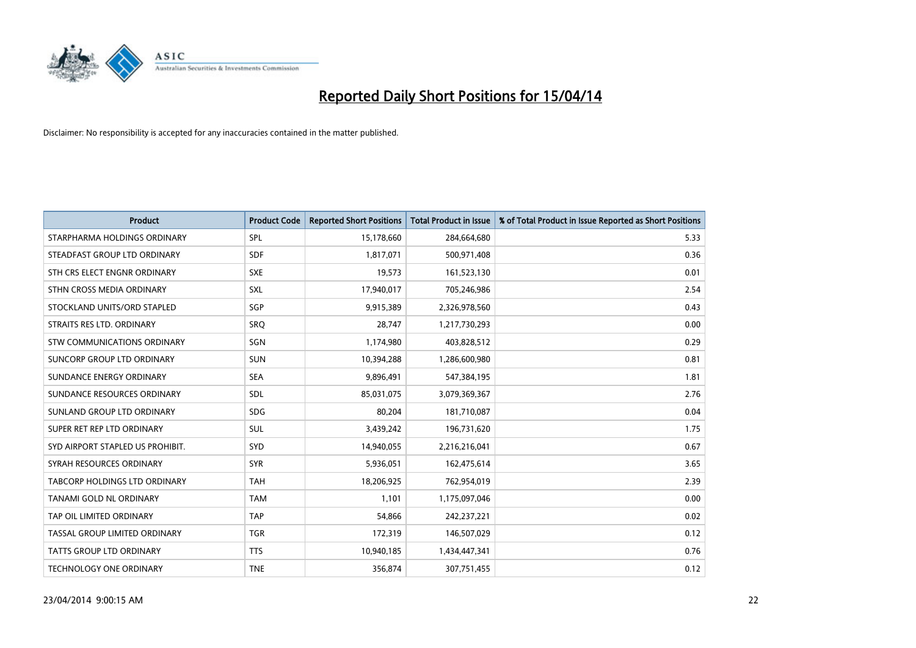

| <b>Product</b>                   | <b>Product Code</b> | <b>Reported Short Positions</b> | <b>Total Product in Issue</b> | % of Total Product in Issue Reported as Short Positions |
|----------------------------------|---------------------|---------------------------------|-------------------------------|---------------------------------------------------------|
| STARPHARMA HOLDINGS ORDINARY     | <b>SPL</b>          | 15,178,660                      | 284,664,680                   | 5.33                                                    |
| STEADFAST GROUP LTD ORDINARY     | <b>SDF</b>          | 1,817,071                       | 500,971,408                   | 0.36                                                    |
| STH CRS ELECT ENGNR ORDINARY     | <b>SXE</b>          | 19,573                          | 161,523,130                   | 0.01                                                    |
| STHN CROSS MEDIA ORDINARY        | SXL                 | 17,940,017                      | 705,246,986                   | 2.54                                                    |
| STOCKLAND UNITS/ORD STAPLED      | SGP                 | 9,915,389                       | 2,326,978,560                 | 0.43                                                    |
| STRAITS RES LTD. ORDINARY        | SRO                 | 28,747                          | 1,217,730,293                 | 0.00                                                    |
| STW COMMUNICATIONS ORDINARY      | SGN                 | 1,174,980                       | 403,828,512                   | 0.29                                                    |
| SUNCORP GROUP LTD ORDINARY       | <b>SUN</b>          | 10,394,288                      | 1,286,600,980                 | 0.81                                                    |
| SUNDANCE ENERGY ORDINARY         | <b>SEA</b>          | 9,896,491                       | 547,384,195                   | 1.81                                                    |
| SUNDANCE RESOURCES ORDINARY      | <b>SDL</b>          | 85,031,075                      | 3,079,369,367                 | 2.76                                                    |
| SUNLAND GROUP LTD ORDINARY       | <b>SDG</b>          | 80,204                          | 181,710,087                   | 0.04                                                    |
| SUPER RET REP LTD ORDINARY       | <b>SUL</b>          | 3,439,242                       | 196,731,620                   | 1.75                                                    |
| SYD AIRPORT STAPLED US PROHIBIT. | <b>SYD</b>          | 14,940,055                      | 2,216,216,041                 | 0.67                                                    |
| SYRAH RESOURCES ORDINARY         | <b>SYR</b>          | 5,936,051                       | 162,475,614                   | 3.65                                                    |
| TABCORP HOLDINGS LTD ORDINARY    | <b>TAH</b>          | 18,206,925                      | 762,954,019                   | 2.39                                                    |
| TANAMI GOLD NL ORDINARY          | <b>TAM</b>          | 1,101                           | 1,175,097,046                 | 0.00                                                    |
| TAP OIL LIMITED ORDINARY         | <b>TAP</b>          | 54,866                          | 242,237,221                   | 0.02                                                    |
| TASSAL GROUP LIMITED ORDINARY    | <b>TGR</b>          | 172,319                         | 146,507,029                   | 0.12                                                    |
| <b>TATTS GROUP LTD ORDINARY</b>  | <b>TTS</b>          | 10,940,185                      | 1,434,447,341                 | 0.76                                                    |
| TECHNOLOGY ONE ORDINARY          | <b>TNE</b>          | 356,874                         | 307,751,455                   | 0.12                                                    |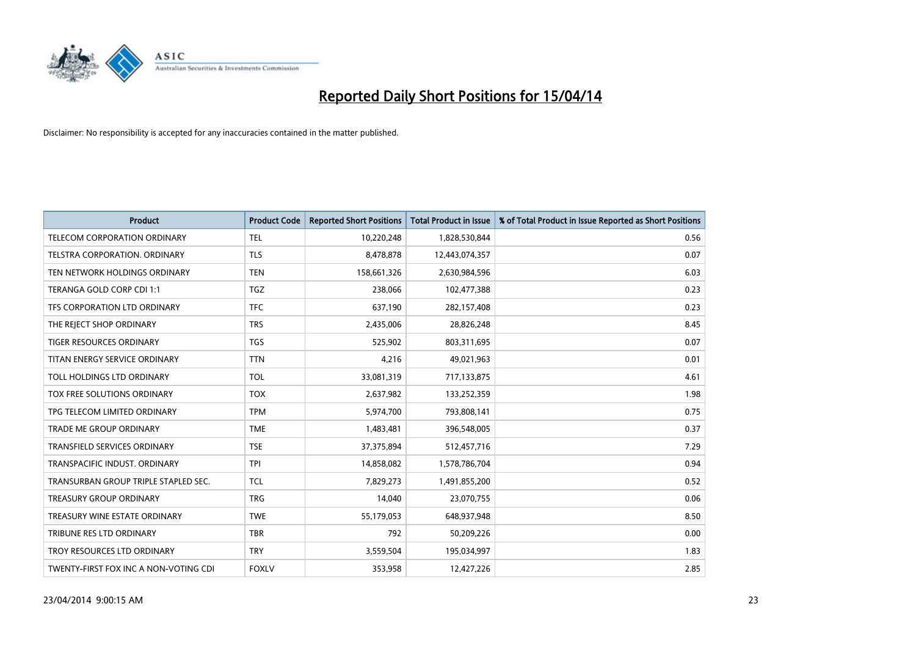

| <b>Product</b>                        | <b>Product Code</b> | <b>Reported Short Positions</b> | <b>Total Product in Issue</b> | % of Total Product in Issue Reported as Short Positions |
|---------------------------------------|---------------------|---------------------------------|-------------------------------|---------------------------------------------------------|
| TELECOM CORPORATION ORDINARY          | <b>TEL</b>          | 10,220,248                      | 1,828,530,844                 | 0.56                                                    |
| TELSTRA CORPORATION. ORDINARY         | <b>TLS</b>          | 8,478,878                       | 12,443,074,357                | 0.07                                                    |
| TEN NETWORK HOLDINGS ORDINARY         | <b>TEN</b>          | 158,661,326                     | 2,630,984,596                 | 6.03                                                    |
| TERANGA GOLD CORP CDI 1:1             | <b>TGZ</b>          | 238,066                         | 102,477,388                   | 0.23                                                    |
| TFS CORPORATION LTD ORDINARY          | <b>TFC</b>          | 637,190                         | 282,157,408                   | 0.23                                                    |
| THE REJECT SHOP ORDINARY              | <b>TRS</b>          | 2,435,006                       | 28,826,248                    | 8.45                                                    |
| TIGER RESOURCES ORDINARY              | <b>TGS</b>          | 525,902                         | 803,311,695                   | 0.07                                                    |
| TITAN ENERGY SERVICE ORDINARY         | <b>TTN</b>          | 4,216                           | 49,021,963                    | 0.01                                                    |
| TOLL HOLDINGS LTD ORDINARY            | <b>TOL</b>          | 33,081,319                      | 717,133,875                   | 4.61                                                    |
| TOX FREE SOLUTIONS ORDINARY           | <b>TOX</b>          | 2,637,982                       | 133,252,359                   | 1.98                                                    |
| TPG TELECOM LIMITED ORDINARY          | <b>TPM</b>          | 5,974,700                       | 793,808,141                   | 0.75                                                    |
| <b>TRADE ME GROUP ORDINARY</b>        | <b>TME</b>          | 1,483,481                       | 396,548,005                   | 0.37                                                    |
| <b>TRANSFIELD SERVICES ORDINARY</b>   | <b>TSE</b>          | 37,375,894                      | 512,457,716                   | 7.29                                                    |
| TRANSPACIFIC INDUST, ORDINARY         | <b>TPI</b>          | 14,858,082                      | 1,578,786,704                 | 0.94                                                    |
| TRANSURBAN GROUP TRIPLE STAPLED SEC.  | TCL                 | 7,829,273                       | 1,491,855,200                 | 0.52                                                    |
| TREASURY GROUP ORDINARY               | <b>TRG</b>          | 14,040                          | 23,070,755                    | 0.06                                                    |
| TREASURY WINE ESTATE ORDINARY         | <b>TWE</b>          | 55,179,053                      | 648,937,948                   | 8.50                                                    |
| TRIBUNE RES LTD ORDINARY              | <b>TBR</b>          | 792                             | 50,209,226                    | 0.00                                                    |
| TROY RESOURCES LTD ORDINARY           | <b>TRY</b>          | 3,559,504                       | 195,034,997                   | 1.83                                                    |
| TWENTY-FIRST FOX INC A NON-VOTING CDI | <b>FOXLV</b>        | 353,958                         | 12,427,226                    | 2.85                                                    |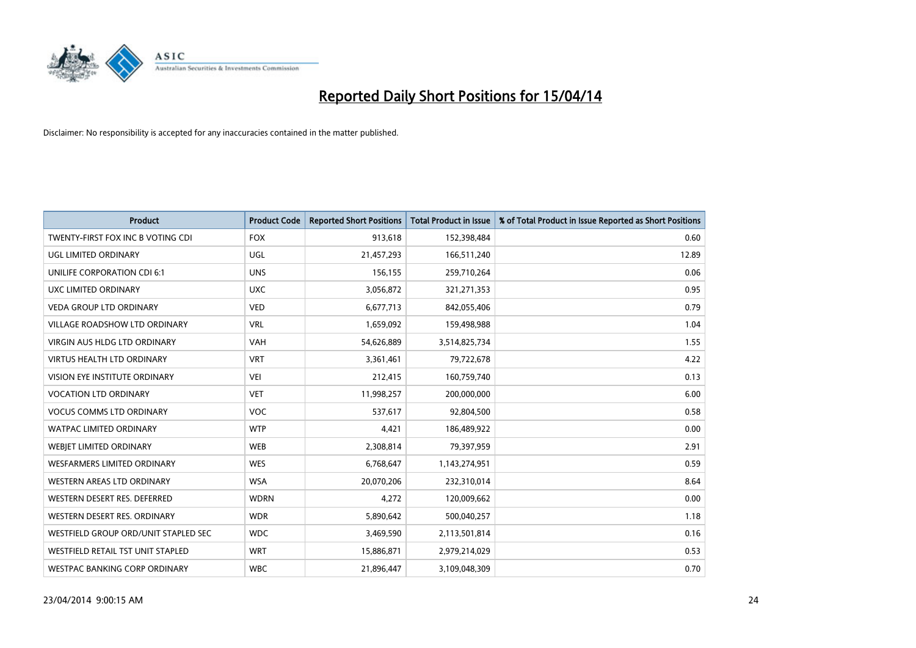

| <b>Product</b>                       | <b>Product Code</b> | <b>Reported Short Positions</b> | <b>Total Product in Issue</b> | % of Total Product in Issue Reported as Short Positions |
|--------------------------------------|---------------------|---------------------------------|-------------------------------|---------------------------------------------------------|
| TWENTY-FIRST FOX INC B VOTING CDI    | <b>FOX</b>          | 913,618                         | 152,398,484                   | 0.60                                                    |
| UGL LIMITED ORDINARY                 | UGL                 | 21,457,293                      | 166,511,240                   | 12.89                                                   |
| UNILIFE CORPORATION CDI 6:1          | <b>UNS</b>          | 156,155                         | 259,710,264                   | 0.06                                                    |
| UXC LIMITED ORDINARY                 | <b>UXC</b>          | 3,056,872                       | 321,271,353                   | 0.95                                                    |
| <b>VEDA GROUP LTD ORDINARY</b>       | <b>VED</b>          | 6,677,713                       | 842,055,406                   | 0.79                                                    |
| <b>VILLAGE ROADSHOW LTD ORDINARY</b> | <b>VRL</b>          | 1,659,092                       | 159,498,988                   | 1.04                                                    |
| <b>VIRGIN AUS HLDG LTD ORDINARY</b>  | <b>VAH</b>          | 54,626,889                      | 3,514,825,734                 | 1.55                                                    |
| <b>VIRTUS HEALTH LTD ORDINARY</b>    | <b>VRT</b>          | 3,361,461                       | 79,722,678                    | 4.22                                                    |
| VISION EYE INSTITUTE ORDINARY        | <b>VEI</b>          | 212,415                         | 160,759,740                   | 0.13                                                    |
| <b>VOCATION LTD ORDINARY</b>         | <b>VET</b>          | 11,998,257                      | 200,000,000                   | 6.00                                                    |
| <b>VOCUS COMMS LTD ORDINARY</b>      | <b>VOC</b>          | 537,617                         | 92,804,500                    | 0.58                                                    |
| <b>WATPAC LIMITED ORDINARY</b>       | <b>WTP</b>          | 4,421                           | 186,489,922                   | 0.00                                                    |
| WEBIET LIMITED ORDINARY              | <b>WEB</b>          | 2,308,814                       | 79,397,959                    | 2.91                                                    |
| <b>WESFARMERS LIMITED ORDINARY</b>   | <b>WES</b>          | 6,768,647                       | 1,143,274,951                 | 0.59                                                    |
| WESTERN AREAS LTD ORDINARY           | <b>WSA</b>          | 20,070,206                      | 232,310,014                   | 8.64                                                    |
| WESTERN DESERT RES. DEFERRED         | <b>WDRN</b>         | 4,272                           | 120,009,662                   | 0.00                                                    |
| WESTERN DESERT RES. ORDINARY         | <b>WDR</b>          | 5,890,642                       | 500,040,257                   | 1.18                                                    |
| WESTFIELD GROUP ORD/UNIT STAPLED SEC | <b>WDC</b>          | 3,469,590                       | 2,113,501,814                 | 0.16                                                    |
| WESTFIELD RETAIL TST UNIT STAPLED    | <b>WRT</b>          | 15,886,871                      | 2,979,214,029                 | 0.53                                                    |
| WESTPAC BANKING CORP ORDINARY        | <b>WBC</b>          | 21,896,447                      | 3,109,048,309                 | 0.70                                                    |